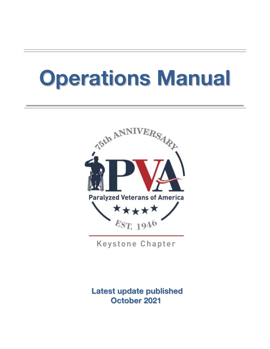# **Operations Manual**



Keystone Chapter

**Latest update published October 2021**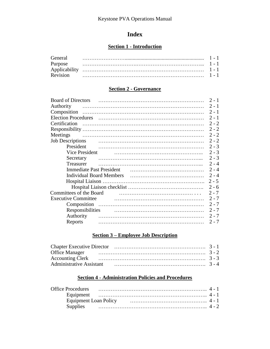# **Index**

### **Section 1 - Introduction**

| General  |  |
|----------|--|
| Purpose  |  |
|          |  |
| Revision |  |

#### **Section 2 - Governance**

| <b>Board of Directors</b>       | $2 - 1$ |
|---------------------------------|---------|
| Authority                       | $2 - 1$ |
| Composition                     | $2 - 1$ |
|                                 | $2 - 1$ |
| Certification                   | $2 - 2$ |
|                                 | $2 - 2$ |
| Meetings                        | $2 - 2$ |
| <b>Job Descriptions</b>         | $2 - 2$ |
| President                       | $2 - 3$ |
| <b>Vice President</b>           | $2 - 3$ |
| Secretary                       | $2 - 3$ |
| Treasurer                       | $2 - 4$ |
| <b>Immediate Past President</b> | $2 - 4$ |
|                                 | $2 - 4$ |
|                                 | $2 - 5$ |
|                                 | $2 - 6$ |
| Committees of the Board         | $2 - 7$ |
| <b>Executive Committee</b>      | $2 - 7$ |
|                                 | $2 - 7$ |
|                                 | $2 - 7$ |
| Authority                       | $2 - 7$ |
| Reports                         | $2 - 7$ |
|                                 |         |

#### **Section 3 – Employee Job Description**

| Office Manager (3.2) 22                         |  |
|-------------------------------------------------|--|
|                                                 |  |
| Administrative Assistant (1996) 1986 (1997) 3-4 |  |

# **Section 4 - Administration Policies and Procedures**

| Office Procedures |  |  |  |
|-------------------|--|--|--|
|                   |  |  |  |
|                   |  |  |  |
| <b>Supplies</b>   |  |  |  |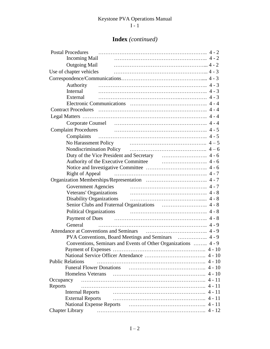$1 - 1$ 

# **Index** *(continued)*

| <b>Postal Procedures</b>                                                                                       |          |  |
|----------------------------------------------------------------------------------------------------------------|----------|--|
| <b>Incoming Mail</b>                                                                                           |          |  |
|                                                                                                                |          |  |
|                                                                                                                |          |  |
|                                                                                                                |          |  |
|                                                                                                                |          |  |
| Internal                                                                                                       |          |  |
| External                                                                                                       |          |  |
|                                                                                                                |          |  |
|                                                                                                                | $4 - 4$  |  |
|                                                                                                                |          |  |
| Corporate Counsel (al., 2008) (al., 2010) (al., 2010) (al., 2010) (al., 2010) (al., 2010) (al., 2010) (al., 20 |          |  |
|                                                                                                                |          |  |
|                                                                                                                |          |  |
|                                                                                                                |          |  |
|                                                                                                                |          |  |
|                                                                                                                |          |  |
| Authority of the Executive Committee <b>Committee</b> 4 - 6                                                    |          |  |
|                                                                                                                | $4 - 6$  |  |
| <b>Right of Appeal</b>                                                                                         |          |  |
|                                                                                                                |          |  |
|                                                                                                                |          |  |
| Veterans' Organizations                                                                                        |          |  |
| <b>Disability Organizations</b>                                                                                |          |  |
|                                                                                                                |          |  |
|                                                                                                                |          |  |
|                                                                                                                |          |  |
| General                                                                                                        |          |  |
|                                                                                                                | $4 - 9$  |  |
|                                                                                                                |          |  |
| Conventions, Seminars and Events of Other Organizations  4 - 9                                                 |          |  |
|                                                                                                                | $4 - 10$ |  |
|                                                                                                                |          |  |
| <b>Public Relations</b>                                                                                        |          |  |
|                                                                                                                |          |  |
|                                                                                                                |          |  |
| Occupancy                                                                                                      |          |  |
| Reports<br><b>Internal Reports</b>                                                                             |          |  |
| <b>External Reports</b>                                                                                        |          |  |
|                                                                                                                |          |  |
| <b>Chapter Library</b>                                                                                         |          |  |
|                                                                                                                |          |  |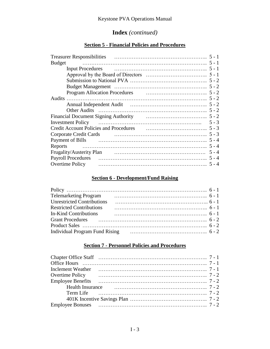# **Index** *(continued)*

# **Section 5 - Financial Policies and Procedures**

|                                                                                       | $5 - 1$ |
|---------------------------------------------------------------------------------------|---------|
| <b>Budget</b>                                                                         |         |
|                                                                                       |         |
|                                                                                       |         |
|                                                                                       |         |
|                                                                                       |         |
|                                                                                       |         |
|                                                                                       |         |
|                                                                                       |         |
|                                                                                       |         |
| Financial Document Signing Authority Financial Document Signing Authority Financial S |         |
|                                                                                       | $5 - 3$ |
| Credit Account Policies and Procedures <b>Credit Account Policies</b> and Procedures  | $5 - 3$ |
| Corporate Credit Cards Participal and Corporate Credit Cards                          | $5 - 3$ |
|                                                                                       | $5 - 4$ |
| Reports                                                                               | $5 - 4$ |
|                                                                                       | $5 - 4$ |
| <b>Payroll Procedures</b>                                                             | $5 - 4$ |
| Overtime Policy                                                                       | $5 - 4$ |

# **Section 6 - Development/Fund Raising**

| <b>Telemarketing Program</b>      |  |
|-----------------------------------|--|
| <b>Unrestricted Contributions</b> |  |
| <b>Restricted Contributions</b>   |  |
| <b>In-Kind Contributions</b>      |  |
|                                   |  |
|                                   |  |
|                                   |  |

#### **Section 7 - Personnel Policies and Procedures**

| Inclement Weather $\ldots$ $\ldots$ $\ldots$ $\ldots$ $\ldots$ $\ldots$ 7 - 1 |  |
|-------------------------------------------------------------------------------|--|
|                                                                               |  |
|                                                                               |  |
|                                                                               |  |
|                                                                               |  |
|                                                                               |  |
|                                                                               |  |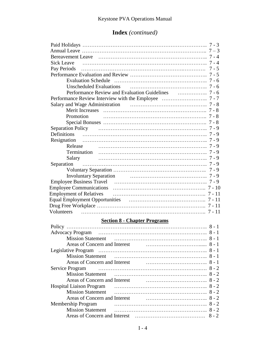# **Index** *(continued)*

|                   | $7 - 3$ |
|-------------------|---------|
|                   | $7 - 3$ |
|                   |         |
| <b>Sick Leave</b> |         |
|                   | $7 - 5$ |
|                   |         |
|                   |         |
|                   |         |
|                   |         |
|                   |         |
|                   |         |
|                   |         |
| Promotion         |         |
|                   |         |
|                   | 7 - 9   |
|                   |         |
|                   |         |
| Release           |         |
|                   |         |
| Salary            |         |
| Separation        |         |
|                   | $7 - 9$ |
|                   |         |
|                   | $7 - 9$ |
|                   |         |
|                   |         |
|                   |         |
|                   |         |
|                   |         |
|                   |         |

# **Section 8 - Chapter Programs**

| <b>Mission Statement</b> |         |
|--------------------------|---------|
|                          |         |
| Membership Program       |         |
| <b>Mission Statement</b> |         |
|                          | $8 - 2$ |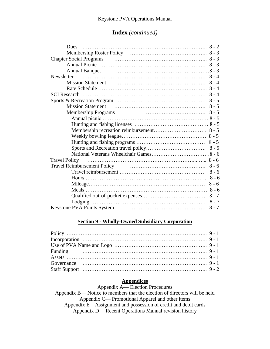# **Index** *(continued)*

| <b>Membership Programs</b><br>$8 - 6$<br>$L$ odging<br>Keystone PVA Points System <b>Example 2.1 Second PVA</b> Points System<br>$8 - 7$ | <b>Dues</b>                        |  |
|------------------------------------------------------------------------------------------------------------------------------------------|------------------------------------|--|
|                                                                                                                                          |                                    |  |
|                                                                                                                                          |                                    |  |
|                                                                                                                                          |                                    |  |
|                                                                                                                                          |                                    |  |
|                                                                                                                                          | Newsletter                         |  |
|                                                                                                                                          |                                    |  |
|                                                                                                                                          |                                    |  |
|                                                                                                                                          |                                    |  |
|                                                                                                                                          |                                    |  |
|                                                                                                                                          |                                    |  |
|                                                                                                                                          |                                    |  |
|                                                                                                                                          |                                    |  |
|                                                                                                                                          |                                    |  |
|                                                                                                                                          |                                    |  |
|                                                                                                                                          |                                    |  |
|                                                                                                                                          |                                    |  |
|                                                                                                                                          |                                    |  |
|                                                                                                                                          |                                    |  |
|                                                                                                                                          | <b>Travel Policy</b>               |  |
|                                                                                                                                          | <b>Travel Reimbursement Policy</b> |  |
|                                                                                                                                          |                                    |  |
|                                                                                                                                          |                                    |  |
|                                                                                                                                          |                                    |  |
|                                                                                                                                          |                                    |  |
|                                                                                                                                          |                                    |  |
|                                                                                                                                          |                                    |  |
|                                                                                                                                          |                                    |  |

#### **Section 9 - Wholly-Owned Subsidiary Corporation**

| Funding $9-1$ |
|---------------|
|               |
|               |
|               |
|               |

# **Appendices**

Appendix A— Election Procedures

Appendix B— Notice to members that the election of directors will be held Appendix C— Promotional Apparel and other items Appendix E—Assignment and possession of credit and debit cards Appendix D— Recent Operations Manual revision history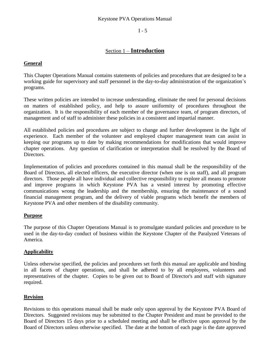I - 5

# Section 1 – **Introduction**

#### **General**

This Chapter Operations Manual contains statements of policies and procedures that are designed to be a working guide for supervisory and staff personnel in the day-to-day administration of the organization's programs.

These written policies are intended to increase understanding, eliminate the need for personal decisions on matters of established policy, and help to assure uniformity of procedures throughout the organization. It is the responsibility of each member of the governance team, of program directors, of management and of staff to administer these policies in a consistent and impartial manner.

All established policies and procedures are subject to change and further development in the light of experience. Each member of the volunteer and employed chapter management team can assist in keeping our programs up to date by making recommendations for modifications that would improve chapter operations. Any question of clarification or interpretation shall be resolved by the Board of Directors.

Implementation of policies and procedures contained in this manual shall be the responsibility of the Board of Directors, all elected officers, the executive director (when one is on staff), and all program directors. Those people all have individual and collective responsibility to explore all means to promote and improve programs in which Keystone PVA has a vested interest by promoting effective communications wrong the leadership and the membership, ensuring the maintenance of a sound financial management program, and the delivery of viable programs which benefit the members of Keystone PVA and other members of the disability community.

#### **Purpose**

The purpose of this Chapter Operations Manual is to promulgate standard policies and procedure to be used in the day-to-day conduct of business within the Keystone Chapter of the Paralyzed Veterans of America.

#### **Applicability**

Unless otherwise specified, the policies and procedures set forth this manual are applicable and binding in all facets of chapter operations, and shall be adhered to by all employees, volunteers and representatives of the chapter. Copies to be given out to Board of Director's and staff with signature required.

## **Revision**

Revisions to this operations manual shall be made only upon approval by the Keystone PVA Board of Directors. Suggested revisions may be submitted to the Chapter President and must be provided to the Board of Directors 15 days prior to a scheduled meeting and shall be effective upon approval by the Board of Directors unless otherwise specified. The date at the bottom of each page is the date approved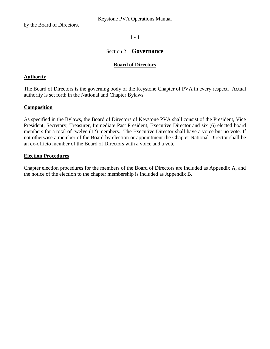$1 - 1$ 

# Section 2 **– Governance**

#### **Board of Directors**

#### **Authority**

The Board of Directors is the governing body of the Keystone Chapter of PVA in every respect. Actual authority is set forth in the National and Chapter Bylaws.

#### **Composition**

As specified in the Bylaws, the Board of Directors of Keystone PVA shall consist of the President, Vice President, Secretary, Treasurer, Immediate Past President, Executive Director and six (6) elected board members for a total of twelve (12) members. The Executive Director shall have a voice but no vote. If not otherwise a member of the Board by election or appointment the Chapter National Director shall be an ex-officio member of the Board of Directors with a voice and a vote.

#### **Election Procedures**

Chapter election procedures for the members of the Board of Directors are included as Appendix A, and the notice of the election to the chapter membership is included as Appendix B.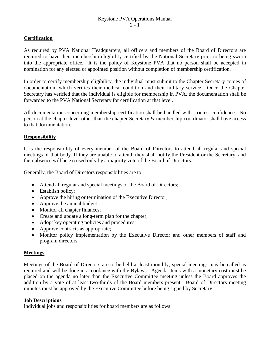#### **Certification**

As required by PVA National Headquarters, all officers and members of the Board of Directors are required to have their membership eligibility certified by the National Secretary prior to being sworn into the appropriate office. It is the policy of Keystone PVA that no person shall be accepted in nomination for any elected or appointed position without completion of membership certification.

In order to certify membership eligibility, the individual must submit to the Chapter Secretary copies of documentation, which verifies their medical condition and their military service. Once the Chapter Secretary has verified that the individual is eligible for membership in PVA, the documentation shall be forwarded to the PVA National Secretary for certification at that level.

All documentation concerning membership certification shall be handled with strictest confidence. No person at the chapter level other than the chapter Secretary & membership coordinator shall have access to that documentation.

#### **Responsibility**

It is the responsibility of every member of the Board of Directors to attend all regular and special meetings of that body. If they are unable to attend, they shall notify the President or the Secretary, and their absence will be excused only by a majority vote of the Board of Directors.

Generally, the Board of Directors responsibilities are to:

- Attend all regular and special meetings of the Board of Directors;
- Establish policy;
- Approve the hiring or termination of the Executive Director;
- Approve the annual budget;
- Monitor all chapter finances;
- Create and update a long-term plan for the chapter;
- Adopt key operating policies and procedures;
- Approve contracts as appropriate;
- Monitor policy implementation by the Executive Director and other members of staff and program directors.

#### **Meetings**

Meetings of the Board of Directors are to be held at least monthly; special meetings may be called as required and will be done in accordance with the Bylaws. Agenda items with a monetary cost must be placed on the agenda no later than the Executive Committee meeting unless the Board approves the addition by a vote of at least two-thirds of the Board members present. Board of Directors meeting minutes must be approved by the Executive Committee before being signed by Secretary.

#### **Job Descriptions**

Individual jobs and responsibilities for board members are as follows: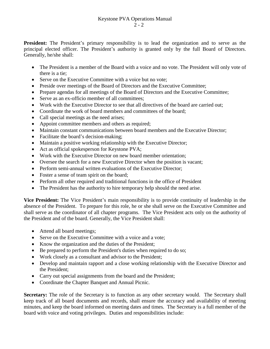**President:** The President's primary responsibility is to lead the organization and to serve as the principal elected officer. The President's authority is granted only by the full Board of Directors. Generally, he/she shall:

- The President is a member of the Board with a voice and no vote. The President will only vote of there is a tie;
- Serve on the Executive Committee with a voice but no vote;
- Preside over meetings of the Board of Directors and the Executive Committee;
- Prepare agendas for all meetings of the Board of Directors and the Executive Committee;
- Serve as an ex-officio member of all committees:
- Work with the Executive Director to see that all directives of the board are carried out;
- Coordinate the work of board members and committees of the board;
- Call special meetings as the need arises;
- Appoint committee members and others as required;
- Maintain constant communications between board members and the Executive Director;
- Facilitate the board's decision-making:
- Maintain a positive working relationship with the Executive Director;
- Act as official spokesperson for Keystone PVA;
- Work with the Executive Director on new board member orientation;
- Oversee the search for a new Executive Director when the position is vacant;
- Perform semi-annual written evaluations of the Executive Director;
- Foster a sense of team spirit on the board;
- Perform all other required and traditional functions in the office of President
- The President has the authority to hire temporary help should the need arise.

**Vice President:** The Vice President's main responsibility is to provide continuity of leadership in the absence of the President. To prepare for this role, he or she shall serve on the Executive Committee and shall serve as the coordinator of all chapter programs. The Vice President acts only on the authority of the President and of the board. Generally, the Vice President shall:

- Attend all board meetings;
- Serve on the Executive Committee with a voice and a vote;
- Know the organization and the duties of the President;
- Be prepared to perform the President's duties when required to do so;
- Work closely as a consultant and advisor to the President;
- Develop and maintain rapport and a close working relationship with the Executive Director and the President;
- Carry out special assignments from the board and the President;
- Coordinate the Chapter Banquet and Annual Picnic.

**Secretary:** The role of the Secretary is to function as any other secretary would. The Secretary shall keep track of all board documents and records, shall ensure the accuracy and availability of meeting minutes, and keep the board informed on meeting dates and times. The Secretary is a full member of the board with voice and voting privileges. Duties and responsibilities include: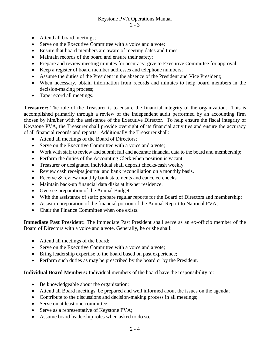$2 - 3$ 

- Attend all board meetings;
- Serve on the Executive Committee with a voice and a vote;
- Ensure that board members are aware of meeting dates and times;
- Maintain records of the board and ensure their safety;
- Prepare and review meeting minutes for accuracy, give to Executive Committee for approval;
- Keep a register of board member addresses and telephone numbers;
- Assume the duties of the President in the absence of the President and Vice President;
- When necessary, obtain information from records and minutes to help board members in the decision-making process;
- Tape record all meetings.

**Treasurer:** The role of the Treasurer is to ensure the financial integrity of the organization. This is accomplished primarily through a review of the independent audit performed by an accounting firm chosen by him/her with the assistance of the Executive Director. To help ensure the fiscal integrity of Keystone PVA, the Treasurer shall provide oversight of its financial activities and ensure the accuracy of all financial records and reports. Additionally the Treasurer shall:

- Attend all meetings of the Board of Directors;
- Serve on the Executive Committee with a voice and a vote;
- Work with staff to review and submit full and accurate financial data to the board and membership;
- Perform the duties of the Accounting Clerk when position is vacant.
- Treasurer or designated individual shall deposit checks/cash weekly.
- Review cash receipts journal and bank reconciliation on a monthly basis.
- Receive & review monthly bank statements and canceled checks.
- Maintain back-up financial data disks at his/her residence.
- Oversee preparation of the Annual Budget;
- With the assistance of staff; prepare regular reports for the Board of Directors and membership;
- Assist in preparation of the financial portion of the Annual Report to National PVA;
- Chair the Finance Committee when one exists.

**Immediate Past President:** The Immediate Past President shall serve as an ex-officio member of the Board of Directors with a voice and a vote. Generally, he or she shall:

- Attend all meetings of the board;
- Serve on the Executive Committee with a voice and a vote;
- Bring leadership expertise to the board based on past experience;
- Perform such duties as may be prescribed by the board or by the President.

**Individual Board Members:** Individual members of the board have the responsibility to:

- Be knowledgeable about the organization;
- Attend all Board meetings, be prepared and well informed about the issues on the agenda;
- Contribute to the discussions and decision-making process in all meetings;
- Serve on at least one committee;
- Serve as a representative of Keystone PVA;
- Assume board leadership roles when asked to do so.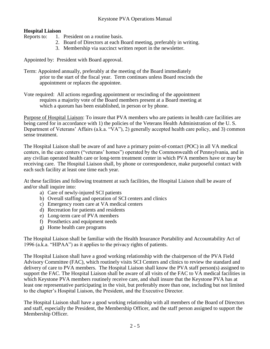#### **Hospital Liaison**

Reports to: 1. President on a routine basis.

- 2. Board of Directors at each Board meeting, preferably in writing.
- 3. Membership via succinct written report in the newsletter.

Appointed by: President with Board approval.

- Term: Appointed annually, preferably at the meeting of the Board immediately prior to the start of the fiscal year. Term continues unless Board rescinds the appointment or replaces the appointee.
- Vote required: All actions regarding appointment or rescinding of the appointment requires a majority vote of the Board members present at a Board meeting at which a quorum has been established, in person or by phone.

Purpose of Hospital Liaison: To insure that PVA members who are patients in health care facilities are being cared for in accordance with 1) the policies of the Veterans Health Administration of the U.S. Department of Veterans' Affairs (a.k.a. "VA"), 2) generally accepted health care policy, and 3) common sense treatment.

The Hospital Liaison shall be aware of and have a primary point-of-contact (POC) in all VA medical centers, in the care centers ("veterans' homes") operated by the Commonwealth of Pennsylvania, and in any civilian operated health care or long-term treatment center in which PVA members have or may be receiving care. The Hospital Liaison shall, by phone or correspondence, make purposeful contact with each such facility at least one time each year.

At these facilities and following treatment at such facilities, the Hospital Liaison shall be aware of and/or shall inquire into:

- a) Care of newly-injured SCI patients
- b) Overall staffing and operation of SCI centers and clinics
- c) Emergency room care at VA medical centers
- d) Recreation for patients and residents
- e) Long-term care of PVA members
- f) Prosthetics and equipment needs
- g) Home health care programs

The Hospital Liaison shall be familiar with the Health Insurance Portability and Accountability Act of 1996 (a.k.a. "HIPAA") as it applies to the privacy rights of patients.

The Hospital Liaison shall have a good working relationship with the chairperson of the PVA Field Advisory Committee (FAC), which routinely visits SCI Centers and clinics to review the standard and delivery of care to PVA members. The Hospital Liaison shall know the PVA staff person(s) assigned to support the FAC. The Hospital Liaison shall be aware of all visits of the FAC to VA medical facilities in which Keystone PVA members routinely receive care, and shall insure that the Keystone PVA has at least one representative participating in the visit, but preferably more than one, including but not limited to the chapter's Hospital Liaison, the President, and the Executive Director.

The Hospital Liaison shall have a good working relationship with all members of the Board of Directors and staff, especially the President, the Membership Officer, and the staff person assigned to support the Membership Officer.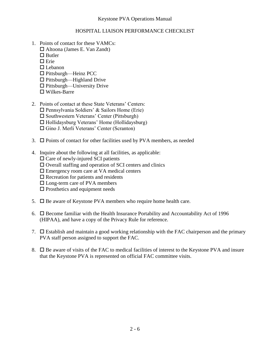#### HOSPITAL LIAISON PERFORMANCE CHECKLIST

- 1. Points of contact for these VAMCs: Altoona (James E. Van Zandt)  $\Box$  Butler  $\Box$  Erie □ Lebanon □ Pittsburgh—Heinz PCC  $\Box$  Pittsburgh—Highland Drive  $\square$  Pittsburgh—University Drive Wilkes-Barre
- 2. Points of contact at these State Veterans' Centers:  $\Box$  Pennsylvania Soldiers' & Sailors Home (Erie)  $\square$  Southwestern Veterans' Center (Pittsburgh)  $\Box$  Hollidaysburg Veterans' Home (Hollidaysburg)
	- Gino J. Merli Veterans' Center (Scranton)
- 3.  $\Box$  Points of contact for other facilities used by PVA members, as needed
- 4. Inquire about the following at all facilities, as applicable:
	- $\Box$  Care of newly-injured SCI patients
	- $\Box$  Overall staffing and operation of SCI centers and clinics
	- Emergency room care at VA medical centers
	- $\square$  Recreation for patients and residents
	- □ Long-term care of PVA members
	- $\square$  Prosthetics and equipment needs
- 5.  $\Box$  Be aware of Keystone PVA members who require home health care.
- 6.  $\Box$  Become familiar with the Health Insurance Portability and Accountability Act of 1996 (HIPAA), and have a copy of the Privacy Rule for reference.
- 7.  $\Box$  Establish and maintain a good working relationship with the FAC chairperson and the primary PVA staff person assigned to support the FAC.
- 8.  $\Box$  Be aware of visits of the FAC to medical facilities of interest to the Keystone PVA and insure that the Keystone PVA is represented on official FAC committee visits.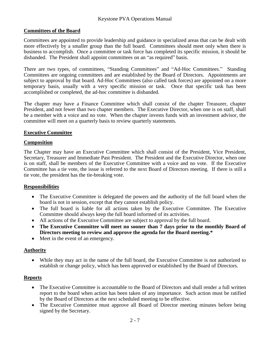#### **Committees of the Board**

Committees are appointed to provide leadership and guidance in specialized areas that can be dealt with more effectively by a smaller group than the full board. Committees should meet only when there is business to accomplish. Once a committee or task force has completed its specific mission, it should be disbanded. The President shall appoint committees on an "as required" basis.

There are two types, of committees, "Standing Committees" and "Ad-Hoc Committees." Standing Committees are ongoing committees and are established by the Board of Directors. Appointments are subject to approval by that board. Ad-Hoc Committees (also called task forces) are appointed on a more temporary basis, usually with a very specific mission or task. Once that specific task has been accomplished or completed, the ad-hoc committee is disbanded.

The chapter may have a Finance Committee which shall consist of the chapter Treasurer, chapter President, and not fewer than two chapter members. The Executive Director, when one is on staff, shall be a member with a voice and no vote. When the chapter invests funds with an investment advisor, the committee will meet on a quarterly basis to review quarterly statements.

#### **Executive Committee**

#### **Composition**

The Chapter may have an Executive Committee which shall consist of the President, Vice President, Secretary, Treasurer and Immediate Past President. The President and the Executive Director, when one is on staff, shall be members of the Executive Committee with a voice and no vote. If the Executive Committee has a tie vote, the issue is referred to the next Board of Directors meeting. If there is still a tie vote, the president has the tie-breaking vote.

#### **Responsibilities**

- The Executive Committee is delegated the powers and the authority of the full board when the board is not in session, except that they cannot establish policy.
- The full board is liable for all actions taken by the Executive Committee. The Executive Committee should always keep the full board informed of its activities.
- All actions of the Executive Committee are subject to approval by the full board.
- **The Executive Committee will meet no sooner than 7 days prior to the monthly Board of Directors meeting to review and approve the agenda for the Board meeting.\***
- Meet in the event of an emergency.

#### **Authority**

 While they may act in the name of the full board, the Executive Committee is not authorized to establish or change policy, which has been approved or established by the Board of Directors.

#### **Reports**

- The Executive Committee is accountable to the Board of Directors and shall render a full written report to the board when action has been taken of any importance. Such action must be ratified by the Board of Directors at the next scheduled meeting to be effective.
- The Executive Committee must approve all Board of Director meeting minutes before being signed by the Secretary.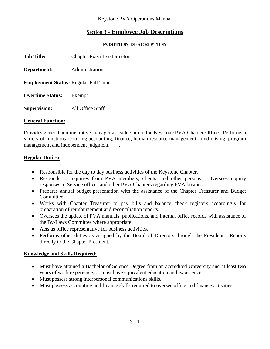# Section 3 – **Employee Job Descriptions**

#### **POSITION DESCRIPTION**

| <b>Job Title:</b>                           | <b>Chapter Executive Director</b> |
|---------------------------------------------|-----------------------------------|
| Department:                                 | Administration                    |
| <b>Employment Status: Regular Full Time</b> |                                   |
| <b>Overtime Status:</b>                     | Exempt                            |
| <b>Supervision:</b>                         | All Office Staff                  |

#### **General Function:**

Provides general administrative managerial leadership to the Keystone PVA Chapter Office. Performs a variety of functions requiring accounting, finance, human resource management, fund raising, program management and independent judgment.

#### **Regular Duties:**

- Responsible for the day to day business activities of the Keystone Chapter.
- Responds to inquiries from PVA members, clients, and other persons. Oversees inquiry responses to Service offices and other PVA Chapters regarding PVA business.
- Prepares annual budget presentation with the assistance of the Chapter Treasurer and Budget Committee.
- Works with Chapter Treasurer to pay bills and balance check registers accordingly for preparation of reimbursement and reconciliation reports. .
- Oversees the update of PVA manuals, publications, and internal office records with assistance of the By-Laws Committee where appropriate.
- Acts as office representative for business activities.
- Performs other duties as assigned by the Board of Directors through the President. Reports directly to the Chapter President.

#### **Knowledge and Skills Required:**

- Must have attained a Bachelor of Science Degree from an accredited University and at least two years of work experience, or must have equivalent education and experience.
- Must possess strong interpersonal communications skills.
- Must possess accounting and finance skills required to oversee office and finance activities.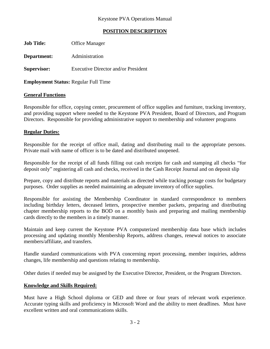#### **POSITION DESCRIPTION**

**Job Title:** Office Manager

**Department:** Administration

**Supervisor:** Executive Director and/or President

**Employment Status:** Regular Full Time

#### **General Functions**

Responsible for office, copying center, procurement of office supplies and furniture, tracking inventory, and providing support where needed to the Keystone PVA President, Board of Directors, and Program Directors. Responsible for providing administrative support to membership and volunteer programs

#### **Regular Duties:**

Responsible for the receipt of office mail, dating and distributing mail to the appropriate persons. Private mail with name of officer is to be dated and distributed unopened.

Responsible for the receipt of all funds filling out cash receipts for cash and stamping all checks "for deposit only" registering all cash and checks, received in the Cash Receipt Journal and on deposit slip

Prepare, copy and distribute reports and materials as directed while tracking postage costs for budgetary purposes. Order supplies as needed maintaining an adequate inventory of office supplies.

Responsible for assisting the Membership Coordinator in standard correspondence to members including birthday letters, deceased letters, prospective member packets, preparing and distributing chapter membership reports to the BOD on a monthly basis and preparing and mailing membership cards directly to the members in a timely manner.

Maintain and keep current the Keystone PVA computerized membership data base which includes processing and updating monthly Membership Reports, address changes, renewal notices to associate members/affiliate, and transfers.

Handle standard communications with PVA concerning report processing, member inquiries, address changes, life membership and questions relating to membership.

Other duties if needed may be assigned by the Executive Director, President, or the Program Directors.

#### **Knowledge and Skills Required:**

Must have a High School diploma or GED and three or four years of relevant work experience. Accurate typing skills and proficiency in Microsoft Word and the ability to meet deadlines. Must have excellent written and oral communications skills.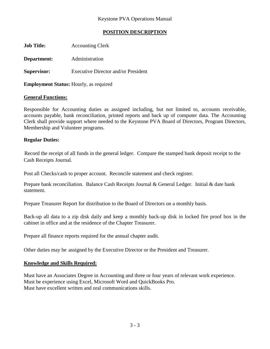#### **POSITION DESCRIPTION**

**Job Title:** Accounting Clerk

**Department:** Administration

**Supervisor:** Executive Director and/or President

**Employment Status:** Hourly, as required

#### **General Functions:**

Responsible for Accounting duties as assigned including, but not limited to, accounts receivable, accounts payable, bank reconciliation, printed reports and back up of computer data. The Accounting Clerk shall provide support where needed to the Keystone PVA Board of Directors, Program Directors, Membership and Volunteer programs.

#### **Regular Duties:**

Record the receipt of all funds in the general ledger. Compare the stamped bank deposit receipt to the Cash Receipts Journal.

Post all Checks/cash to proper account. Reconcile statement and check register.

Prepare bank reconciliation. Balance Cash Receipts Journal & General Ledger. Initial & date bank statement.

Prepare Treasurer Report for distribution to the Board of Directors on a monthly basis.

Back-up all data to a zip disk daily and keep a monthly back-up disk in locked fire proof box in the cabinet in office and at the residence of the Chapter Treasurer.

Prepare all finance reports required for the annual chapter audit.

Other duties may be assigned by the Executive Director or the President and Treasurer.

#### **Knowledge and Skills Required:**

Must have an Associates Degree in Accounting and three or four years of relevant work experience. Must be experience using Excel, Microsoft Word and QuickBooks Pro. Must have excellent written and oral communications skills.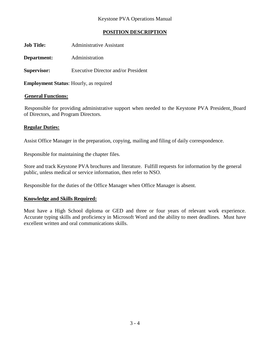#### **POSITION DESCRIPTION**

| <b>Job Title:</b>  | <b>Administrative Assistant</b>            |
|--------------------|--------------------------------------------|
| Department:        | Administration                             |
| <b>Supervisor:</b> | <b>Executive Director and/or President</b> |

**Employment Status**: Hourly, as required

#### **General Functions:**

Responsible for providing administrative support when needed to the Keystone PVA President, Board of Directors, and Program Directors.

#### **Regular Duties:**

Assist Office Manager in the preparation, copying, mailing and filing of daily correspondence.

Responsible for maintaining the chapter files.

Store and track Keystone PVA brochures and literature. Fulfill requests for information by the general public, unless medical or service information, then refer to NSO.

Responsible for the duties of the Office Manager when Office Manager is absent.

#### **Knowledge and Skills Required:**

Must have a High School diploma or GED and three or four years of relevant work experience. Accurate typing skills and proficiency in Microsoft Word and the ability to meet deadlines. Must have excellent written and oral communications skills.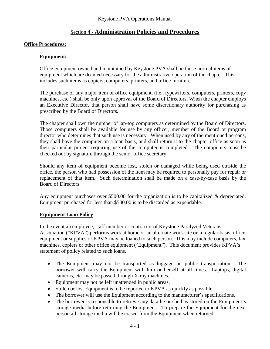# Section 4 - **Administration Policies and Procedures**

#### **Office Procedures:**

#### **Equipment:**

Office equipment owned and maintained by Keystone PVA shall be those normal items of equipment which are deemed necessary for the administrative operation of the chapter. This includes such items as copiers, computers, printers, and office furniture.

The purchase of any major item of office equipment, (i.e., typewriters, computers, printers, copy machines, etc.) shall be only upon approval of the Board of Directors. When the chapter employs an Executive Director, that person shall have some discretionary authority for purchasing as prescribed by the Board of Directors.

The chapter shall own the number of lap-top computers as determined by the Board of Directors. Those computers shall be available for use by any officer, member of the Board or program director who determines that such use is necessary. When used by any of the mentioned persons, they shall have the computer on a loan basis, and shall return it to the chapter office as soon as their particular project requiring use of the computer is completed. The computers must be checked out by signature through the senior office secretary.

Should any item of equipment become lost, stolen or damaged while being used outside the office, the person who had possession of the item may be required to personally pay for repair or replacement of that item. Such determination shall be made on a case-by-case basis by the Board of Directors.

Any equipment purchases over \$500.00 for the organization is to be capitalized & depreciated. Equipment purchased for less than \$500.00 is to be discarded as expendable.

#### **Equipment Loan Policy**

In the event an employee, staff member or contractor of Keystone Paralyzed Veterans Association ("KPVA") performs work at home or an alternate work site on a regular basis, office equipment or supplies of KPVA may be loaned to such person. This may include computers, fax machines, copiers or other office equipment ("Equipment"). This document provides KPVA's statement of policy related to such loans.

- The Equipment may not be transported as luggage on public transportation. The borrower will carry the Equipment with him or herself at all times. Laptops, digital cameras, etc. may be passed through X-ray machines.
- Equipment may not be left unattended in public areas.
- Stolen or lost Equipment is to be reported to KPVA as quickly as possible.
- The borrower will use the Equipment according to the manufacturer's specifications.
- The borrower is responsible to retrieve any data he or she has stored on the Equipment's storage media before returning the Equipment. To prepare the Equipment for the next person all storage media will be erased from the Equipment when returned.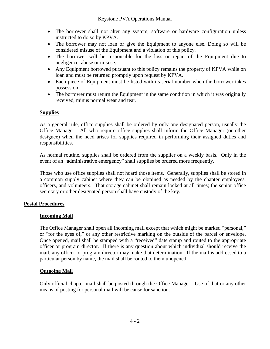- The borrower shall not alter any system, software or hardware configuration unless instructed to do so by KPVA.
- The borrower may not loan or give the Equipment to anyone else. Doing so will be considered misuse of the Equipment and a violation of this policy.
- The borrower will be responsible for the loss or repair of the Equipment due to negligence, abuse or misuse.
- Any Equipment borrowed pursuant to this policy remains the property of KPVA while on loan and must be returned promptly upon request by KPVA.
- Each piece of Equipment must be listed with its serial number when the borrower takes possession.
- The borrower must return the Equipment in the same condition in which it was originally received, minus normal wear and tear.

#### **Supplies**

As a general rule, office supplies shall be ordered by only one designated person, usually the Office Manager. All who require office supplies shall inform the Office Manager (or other designee) when the need arises for supplies required in performing their assigned duties and responsibilities.

As normal routine, supplies shall be ordered from the supplier on a weekly basis. Only in the event of an "administrative emergency" shall supplies be ordered more frequently.

Those who use office supplies shall not hoard those items. Generally, supplies shall be stored in a common supply cabinet where they can be obtained as needed by the chapter employees, officers, and volunteers. That storage cabinet shall remain locked at all times; the senior office secretary or other designated person shall have custody of the key.

#### **Postal Procedures**

#### **Incoming Mail**

The Office Manager shall open all incoming mail except that which might be marked "personal," or "for the eyes of," or any other restrictive marking on the outside of the parcel or envelope. Once opened, mail shall be stamped with a "received" date stamp and routed to the appropriate officer or program director. If there is any question about which individual should receive the mail, any officer or program director may make that determination. If the mail is addressed to a particular person by name, the mail shall be routed to them unopened.

## **Outgoing Mail**

Only official chapter mail shall be posted through the Office Manager. Use of that or any other means of posting for personal mail will be cause for sanction.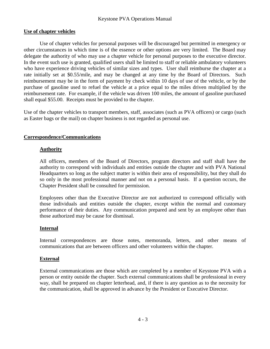#### **Use of chapter vehicles**

Use of chapter vehicles for personal purposes will be discouraged but permitted in emergency or other circumstances in which time is of the essence or other options are very limited. The Board may delegate the authority of who may use a chapter vehicle for personal purposes to the executive director. In the event such use is granted, qualified users shall be limited to staff or reliable ambulatory volunteers who have experience driving vehicles of similar sizes and types. User shall reimburse the chapter at a rate initially set at \$0.55/mile, and may be changed at any time by the Board of Directors. Such reimbursement may be in the form of payment by check within 10 days of use of the vehicle, or by the purchase of gasoline used to refuel the vehicle at a price equal to the miles driven multiplied by the reimbursement rate. For example, if the vehicle was driven 100 miles, the amount of gasoline purchased shall equal \$55.00. Receipts must be provided to the chapter.

Use of the chapter vehicles to transport members, staff, associates (such as PVA officers) or cargo (such as Easter bags or the mail) on chapter business is not regarded as personal use.

#### **Correspondence/Communications**

#### **Authority**

All officers, members of the Board of Directors, program directors and staff shall have the authority to correspond with individuals and entities outside the chapter and with PVA National Headquarters so long as the subject matter is within their area of responsibility, but they shall do so only in the most professional manner and not on a personal basis. If a question occurs, the Chapter President shall be consulted for permission.

Employees other than the Executive Director are not authorized to correspond officially with those individuals and entities outside the chapter, except within the normal and customary performance of their duties. Any communication prepared and sent by an employee other than those authorized may be cause for dismissal.

#### **Internal**

Internal correspondences are those notes, memoranda, letters, and other means of communications that are between officers and other volunteers within the chapter.

#### **External**

External communications are those which are completed by a member of Keystone PVA with a person or entity outside the chapter. Such external communications shall be professional in every way, shall be prepared on chapter letterhead, and, if there is any question as to the necessity for the communication, shall be approved in advance by the President or Executive Director.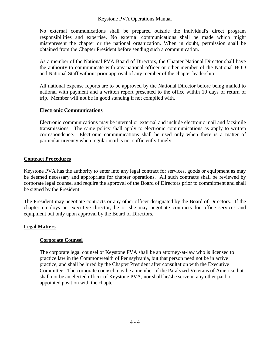No external communications shall be prepared outside the individual's direct program responsibilities and expertise. No external communications shall be made which might misrepresent the chapter or the national organization. When in doubt, permission shall be obtained from the Chapter President before sending such a communication.

As a member of the National PVA Board of Directors, the Chapter National Director shall have the authority to communicate with any national officer or other member of the National BOD and National Staff without prior approval of any member of the chapter leadership.

All national expense reports are to be approved by the National Director before being mailed to national with payment and a written report presented to the office within 10 days of return of trip. Member will not be in good standing if not complied with.

#### **Electronic Communications**

Electronic communications may be internal or external and include electronic mail and facsimile transmissions. The same policy shall apply to electronic communications as apply to written correspondence. Electronic communications shall be used only when there is a matter of particular urgency when regular mail is not sufficiently timely.

#### **Contract Procedures**

Keystone PVA has the authority to enter into any legal contract for services, goods or equipment as may be deemed necessary and appropriate for chapter operations. All such contracts shall be reviewed by corporate legal counsel and require the approval of the Board of Directors prior to commitment and shall be signed by the President.

The President may negotiate contracts or any other officer designated by the Board of Directors. If the chapter employs an executive director, he or she may negotiate contracts for office services and equipment but only upon approval by the Board of Directors.

#### **Legal Matters**

#### **Corporate Counsel**

The corporate legal counsel of Keystone PVA shall be an attorney-at-law who is licensed to practice law in the Commonwealth of Pennsylvania, but that person need not be in active practice, and shall be hired by the Chapter President after consultation with the Executive Committee. The corporate counsel may be a member of the Paralyzed Veterans of America, but shall not be an elected officer of Keystone PVA, nor shall he/she serve in any other paid or appointed position with the chapter. .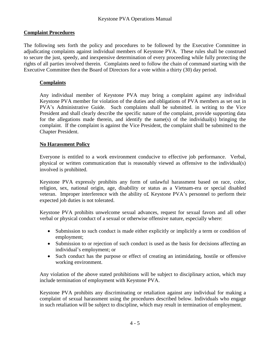#### **Complaint Procedures**

The following sets forth the policy and procedures to be followed by the Executive Committee in adjudicating complaints against individual members of Keystone PVA. These rules shall be construed to secure the just, speedy, and inexpensive determination of every proceeding while fully protecting the rights of all parties involved therein. Complaints need to follow the chain of command starting with the Executive Committee then the Board of Directors for a vote within a thirty (30) day period.

#### **Complaints**

Any individual member of Keystone PVA may bring a complaint against any individual Keystone PVA member for violation of the duties and obligations of PVA members as set out in PVA's Administrative Guide. Such complaints shall be submitted. in writing to the Vice President and shall clearly describe the specific nature of the complaint, provide supporting data for the allegations made therein, and identify the name(s) of the individual(s) bringing the complaint. If the complaint is against the Vice President, the complaint shall be submitted to the Chapter President.

#### **No Harassment Policy**

Everyone is entitled to a work environment conducive to effective job performance. Verbal, physical or written communication that is reasonably viewed as offensive to the individual(s) involved is prohibited.

Keystone PVA expressly prohibits any form of unlawful harassment based on race, color, religion, sex, national origin, age, disability or status as a Vietnam-era or special disabled veteran. Improper interference with the ability o£ Keystone PVA's personnel to perform their expected job duties is not tolerated.

Keystone PVA prohibits unwelcome sexual advances, request for sexual favors and all other verbal or physical conduct of a sexual or otherwise offensive nature, especially where:

- Submission to such conduct is made either explicitly or implicitly a term or condition of employment;
- Submission to or rejection of such conduct is used as the basis for decisions affecting an individual's employment; or
- Such conduct has the purpose or effect of creating an intimidating, hostile or offensive working environment.

Any violation of the above stated prohibitions will be subject to disciplinary action, which may include termination of employment with Keystone PVA.

Keystone PVA prohibits any discriminating or retaliation against any individual for making a complaint of sexual harassment using the procedures described below. Individuals who engage in such retaliation will be subject to discipline, which may result in termination of employment.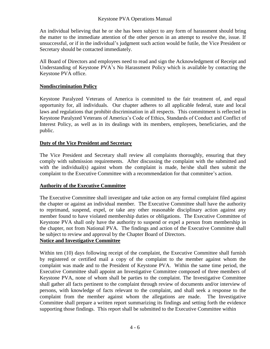An individual believing that he or she has been subject to any form of harassment should bring the matter to the immediate attention of the other person in an attempt to resolve the, issue. If unsuccessful, or if in the individual's judgment such action would be futile, the Vice President or Secretary should be contacted immediately.

All Board of Directors and employees need to read and sign the Acknowledgment of Receipt and Understanding of Keystone PVA's No Harassment Policy which is available by contacting the Keystone PVA office.

#### **Nondiscrimination Policy**

Keystone Paralyzed Veterans of America is committed to the fair treatment of, and equal opportunity for, all individuals. Our chapter adheres to all applicable federal, state and local laws and regulations that prohibit discrimination in all respects. This commitment is reflected in Keystone Paralyzed Veterans of America's Code of Ethics, Standards of Conduct and Conflict of Interest Policy, as well as in its dealings with its members, employees, beneficiaries, and the public.

#### **Duty of the Vice President and Secretary**

The Vice President and Secretary shall review all complaints thoroughly, ensuring that they comply with submission requirements. After discussing the complaint with the submitted and with the individual(s) against whom the complaint is made, he/she shall then submit the complaint to the Executive Committee with a recommendation for that committee's action.

#### **Authority of the Executive Committee**

The Executive Committee shall investigate and take action on any formal complaint filed against the chapter or against an individual member. The Executive Committee shall have the authority to reprimand, suspend, expel, or take any other reasonable disciplinary action against any member found to have violated membership duties or obligations. The Executive Committee of Keystone PVA shall only have the authority to suspend or expel a person from membership in the chapter, not from National PVA. The findings and action of the Executive Committee shall be subject to review and approval by the Chapter Board of Directors.

#### **Notice and Investigative Committee**

Within ten (10) days following receipt of the complaint, the Executive Committee shall furnish by registered or certified mail a copy of the complaint to the member against whom the complaint was made and to the President of Keystone PVA. Within the same time period, the Executive Committee shall appoint an Investigative Committee composed of three members of Keystone PVA, none of whom shall be parties to the complaint. The Investigative Committee shall gather all facts pertinent to the complaint through review of documents and/or interview of persons, with knowledge of facts relevant to the complaint, and shall seek a response to the complaint from the member against whom the allegations are made. The Investigative Committee shall prepare a written report summarizing its findings and setting forth the evidence supporting those findings. This report shall be submitted to the Executive Committee within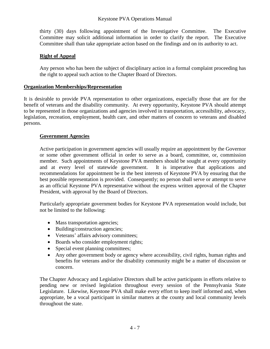thirty (30) days following appointment of the Investigative Committee. The Executive Committee may solicit additional information in order to clarify the report. The Executive Committee shall than take appropriate action based on the findings and on its authority to act.

#### **Right of Appeal**

Any person who has been the subject of disciplinary action in a formal complaint proceeding has the right to appeal such action to the Chapter Board of Directors.

#### **Organization Memberships/Representation**

It is desirable to provide PVA representation to other organizations, especially those that are for the benefit of veterans and the disability community. At every opportunity, Keystone PVA should attempt to be represented in those organizations and agencies involved in transportation, accessibility, advocacy, legislation, recreation, employment, health care, and other matters of concern to veterans and disabled persons.

#### **Government Agencies**

Active participation in government agencies will usually require an appointment by the Governor or some other government official in order to serve as a board, committee, or, commission member. Such appointments of Keystone PVA members should be sought at every opportunity and at every level of statewide government. It is imperative that applications and recommendations for appointment be in the best interests of Keystone PVA by ensuring that the best possible representation is provided. Consequently; no person shall serve or attempt to serve as an official Keystone PVA representative without the express written approval of the Chapter President, with approval by the Board of Directors.

Particularly appropriate government bodies for Keystone PVA representation would include, but not be limited to the following:

- Mass transportation agencies;
- Building/construction agencies;
- Veterans' affairs advisory committees;
- Boards who consider employment rights;
- Special event planning committees;
- Any other government body or agency where accessibility, civil rights, human rights and benefits for veterans and/or the disability community might be a matter of discussion or concern.

The Chapter Advocacy and Legislative Directors shall be active participants in efforts relative to pending new or revised legislation throughout every session of the Pennsylvania State Legislature. Likewise, Keystone PVA shall make every effort to keep itself informed and, when appropriate, be a vocal participant in similar matters at the county and local community levels throughout the state.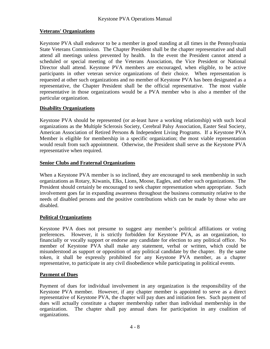#### **Veterans' Organizations**

Keystone PVA shall endeavor to be a member in good standing at all times in the Pennsylvania State Veterans Commission. The Chapter President shall be the chapter representative and shall attend all meetings unless prevented by health. In the event the President cannot attend a scheduled or special meeting of the Veterans Association, the Vice President or National Director shall attend. Keystone PVA members are encouraged, when eligible, to be active participants in other veteran service organizations of their choice. When representation is requested at other such organizations and no member of Keystone PVA has been designated as a representative, the Chapter President shall be the official representative. The most viable representative in those organizations would be a PVA member who is also a member of the particular organization.

#### **Disability Organizations**

Keystone PVA should be represented (or at-least have a working relationship) with such local organizations as the Multiple Sclerosis Society, Cerebral Palsy Association, Easter Seal Society, American Association of Retired Persons & Independent Living Programs. If a Keystone PVA Member is eligible for membership in a specific organization; the most viable representation would result from such appointment. Otherwise, the President shall serve as the Keystone PVA representative when required.

#### **Senior Clubs and Fraternal Organizations**

When a Keystone PVA member is so inclined, they are encouraged to seek membership in such organizations as Rotary, Kiwanis, Elks, Lions, Moose, Eagles, and other such organizations. The President should certainly be encouraged to seek chapter representation when appropriate. Such involvement goes far in expanding awareness throughout the business community relative to the needs of disabled persons and the positive contributions which can be made by those who are disabled.

#### **Political Organizations**

Keystone PVA does not presume to suggest any member's political affiliations or voting preferences. However, it is strictly forbidden for Keystone PVA, as an organization, to financially or vocally support or endorse any candidate for election to any political office. No member of Keystone PVA shall make any statement, verbal or written, which could be misunderstood as support or opposition of any political candidate by the chapter. By the same token, it shall be expressly prohibited for any Keystone PVA member, as a chapter representative, to participate in any civil disobedience while participating in political events.

#### **Payment of Dues**

Payment of dues for individual involvement in any organization is the responsibility of the Keystone PVA member. However, if any chapter member is appointed to serve as a direct representative of Keystone PVA, the chapter will pay dues and initiation fees. Such payment of dues will actually constitute a chapter membership rather than individual membership in the organization. The chapter shall pay annual dues for participation in any coalition of organizations.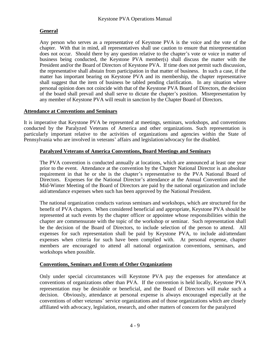#### **General**

Any person who serves as a representative of Keystone PVA is the voice and the vote of the chapter. With that in mind, all representatives shall use caution to ensure that misrepresentation does not occur. Should there by any question relative to the chapter's vote or voice in matter of business being conducted, the Keystone PVA member(s) shall discuss the matter with the President and/or the Board of Directors of Keystone PVA. If time does not permit such discussion, the representative shall abstain from participation in that matter of business. In such a case, if the matter has important bearing on Keystone PVA and its membership, the chapter representative shall suggest that the item of business be tabled pending clarification. In any situation where personal opinion does not coincide with that of the Keystone PVA Board of Directors, the decision of the board shall prevail and shall serve to dictate the chapter's position. Misrepresentation by any member of Keystone PVA will result in sanction by the Chapter Board of Directors.

#### **Attendance at Conventions and Seminars**

It is imperative that Keystone PVA be represented at meetings, seminars, workshops, and conventions conducted by the Paralyzed Veterans of America and other organizations. Such representation is particularly important relative to the activities of organizations and agencies within the State of Pennsylvania who are involved in veterans' affairs and legislation/advocacy for the disabled.

#### **Paralyzed Veterans of America Conventions, Board Meetings and Seminars**

The PVA convention is conducted annually at locations, which are announced at least one year prior to the event. Attendance at the convention by the Chapter National Director is an absolute requirement in that he or she is the chapter's representative to the PVA National Board of Directors. Expenses for the National Director's attendance at the Annual Convention and the Mid-Winter Meeting of the Board of Directors are paid by the national organization and include aid/attendance expenses when such has been approved by the National President.

The national organization conducts various seminars and workshops, which are structured for the benefit of PVA chapters. When considered beneficial and appropriate, Keystone PVA should be represented at such events by the chapter officer or appointee whose responsibilities within the chapter are commensurate with the topic of the workshop or seminar. Such representation shall be the decision of the Board of Directors, to include selection of the person to attend. All expenses for such representation shall be paid by Keystone PVA, to include aid/attendant expenses when criteria for such have been complied with. At personal expense, chapter members are encouraged to attend all national organization conventions, seminars, and workshops when possible.

#### **Conventions, Seminars and Events of Other Organizations**

Only under special circumstances will Keystone PVA pay the expenses for attendance at conventions of organizations other than PVA. If the convention is held locally, Keystone PVA representation may be desirable or beneficial, and the Board of Directors will make such a decision. Obviously, attendance at personal expense is always encouraged especially at the conventions of other veterans' service organizations and of those organizations which are closely affiliated with advocacy, legislation, research, and other matters of concern for the paralyzed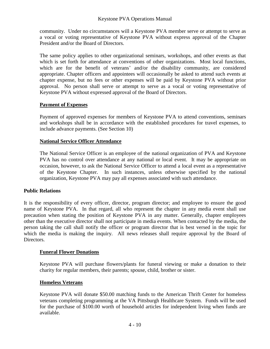community. Under no circumstances will a Keystone PVA member serve or attempt to serve as a vocal or voting representative of Keystone PVA without express approval of the Chapter President and/or the Board of Directors.

The same policy applies to other organizational seminars, workshops, and other events as that which is set forth for attendance at conventions of other organizations. Most local functions, which are for the benefit of veterans' and/or the disability community, are considered appropriate. Chapter officers and appointees will occasionally be asked to attend such events at chapter expense, but no fees or other expenses will be paid by Keystone PVA without prior approval. No person shall serve or attempt to serve as a vocal or voting representative of Keystone PVA without expressed approval of the Board of Directors.

#### **Payment of Expenses**

Payment of approved expenses for members of Keystone PVA to attend conventions, seminars and workshops shall be in accordance with the established procedures for travel expenses, to include advance payments. (See Section 10)

#### **National Service Officer Attendance**

The National Service Officer is an employee of the national organization of PVA and Keystone PVA has no control over attendance at any national or local event. It may be appropriate on occasion, however, to ask the National Service Officer to attend a local event as a representative of the Keystone Chapter. In such instances, unless otherwise specified by the national organization, Keystone PVA may pay all expenses associated with such attendance.

#### **Public Relations**

It is the responsibility of every officer, director, program director; and employee to ensure the good name of Keystone PVA. In that regard, all who represent the chapter in any media event shall use precaution when stating the position of Keystone PVA in any matter. Generally, chapter employees other than the executive director shall not participate in media events. When contacted by the media, the person taking the call shall notify the officer or program director that is best versed in the topic for which the media is making the inquiry. All news releases shall require approval by the Board of Directors.

#### **Funeral Flower Donations**

Keystone PVA will purchase flowers/plants for funeral viewing or make a donation to their charity for regular members, their parents; spouse, child, brother or sister.

#### **Homeless Veterans**

Keystone PVA will donate \$50.00 matching funds to the American Thrift Center for homeless veterans completing programming at the VA Pittsburgh Healthcare System. Funds will be used for the purchase of \$100.00 worth of household articles for independent living when funds are available.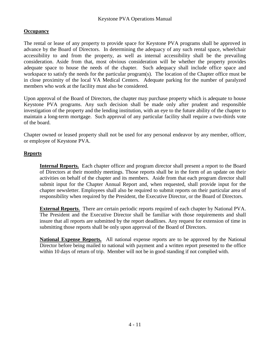## **Occupancy**

The rental or lease of any property to provide space for Keystone PVA programs shall be approved in advance by the Board of Directors. In determining the adequacy of any such rental space, wheelchair accessibility to and from the property, as well as internal accessibility shall be the prevailing consideration. Aside from that, most obvious consideration will be whether the property provides adequate space to house the needs of the chapter. Such adequacy shall include office space and workspace to satisfy the needs for the particular program(s). The location of the Chapter office must be in close proximity of the local VA Medical Centers. Adequate parking for the number of paralyzed members who work at the facility must also be considered.

Upon approval of the Board of Directors, the chapter may purchase property which is adequate to house Keystone PVA programs. Any such decision shall be made only after prudent and responsible investigation of the property and the lending institution, with an eye to the future ability of the chapter to maintain a long-term mortgage. Such approval of any particular facility shall require a two-thirds vote of the board.

Chapter owned or leased property shall not be used for any personal endeavor by any member, officer, or employee of Keystone PVA.

#### **Reports**

**Internal Reports.** Each chapter officer and program director shall present a report to the Board of Directors at their monthly meetings. Those reports shall be in the form of an update on their activities on behalf of the chapter and its members. Aside from that each program director shall submit input for the Chapter Annual Report and, when requested, shall provide input for the chapter newsletter. Employees shall also be required to submit reports on their particular area of responsibility when required by the President, the Executive Director, or the Board of Directors.

**External Reports**. There are certain periodic reports required of each chapter by National PVA. The President and the Executive Director shall be familiar with those requirements and shall insure that all reports are submitted by the report deadlines. Any request for extension of time in submitting those reports shall be only upon approval of the Board of Directors.

**National Expense Reports.** All national expense reports are to be approved by the National Director before being mailed to national with payment and a written report presented to the office within 10 days of return of trip. Member will not be in good standing if not complied with.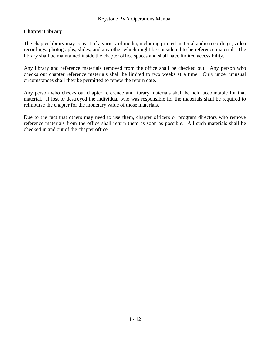#### **Chapter Library**

The chapter library may consist of a variety of media, including printed material audio recordings, video recordings, photographs, slides, and any other which might be considered to be reference material. The library shall be maintained inside the chapter office spaces and shall have limited accessibility.

Any library and reference materials removed from the office shall be checked out. Any person who checks out chapter reference materials shall be limited to two weeks at a time. Only under unusual circumstances shall they be permitted to renew the return date.

Any person who checks out chapter reference and library materials shall be held accountable for that material. If lost or destroyed the individual who was responsible for the materials shall be required to reimburse the chapter for the monetary value of those materials.

Due to the fact that others may need to use them, chapter officers or program directors who remove reference materials from the office shall return them as soon as possible. All such materials shall be checked in and out of the chapter office.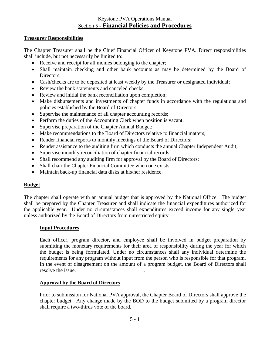## Keystone PVA Operations Manual Section 5 - **Financial Policies and Procedures**

#### **Treasurer Responsibilities**

The Chapter Treasurer shall be the Chief Financial Officer of Keystone PVA. Direct responsibilities shall include, but not necessarily be limited to:

- Receive and receipt for all monies belonging to the chapter;
- Shall maintain checking and other bank accounts as may be determined by the Board of Directors:
- Cash/checks are to be deposited at least weekly by the Treasurer or designated individual;
- Review the bank statements and canceled checks;
- Review and initial the bank reconciliation upon completion;
- Make disbursements and investments of chapter funds in accordance with the regulations and policies established by the Board of Directors;
- Supervise the maintenance of all chapter accounting records;
- Perform the duties of the Accounting Clerk when position is vacant.
- Supervise preparation of the Chapter Annual Budget;
- Make recommendations to the Board of Directors relative to financial matters;
- Render financial reports to monthly meetings of the Board of Directors;
- Render assistance to the auditing firm which conducts the annual Chapter Independent Audit;
- Supervise monthly reconciliation of chapter financial records;
- Shall recommend any auditing firm for approval by the Board of Directors;
- Shall chair the Chapter Financial Committee when one exists;
- Maintain back-up financial data disks at his/her residence.

#### **Budget**

The chapter shall operate with an annual budget that is approved by the National Office. The budget shall be prepared by the Chapter Treasurer and shall indicate the financial expenditures authorized for the applicable year. Under no circumstances shall expenditures exceed income for any single year unless authorized by the Board of Directors from unrestricted equity.

#### **Input Procedures**

Each officer, program director, and employee shall be involved in budget preparation by submitting the monetary requirements for their area of responsibility during the year for which the budget is being formulated. Under no circumstances shall any individual determine the requirements for any program without input from the person who is responsible for that program. In the event of disagreement on the amount of a program budget, the Board of Directors shall resolve the issue. .

#### **Approval by the Board of Directors**

Prior to submission for National PVA approval, the Chapter Board of Directors shall approve the chapter budget. Any change made by the BOD to the budget submitted by a program director shall require a two-thirds vote of the board.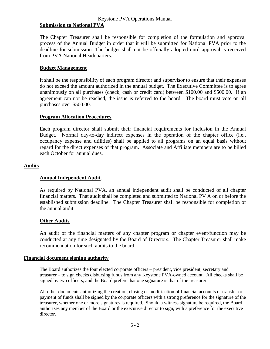#### **Submission to National PVA**

The Chapter Treasurer shall be responsible for completion of the formulation and approval process of the Annual Budget in order that it will be submitted for National PVA prior to the deadline for submission. The budget shall not be officially adopted until approval is received from PVA National Headquarters.

#### **Budget Management**

It shall be the responsibility of each program director and supervisor to ensure that their expenses do not exceed the amount authorized in the annual budget. The Executive Committee is to agree unanimously on all purchases (check, cash or credit card) between \$100.00 and \$500.00. If an agreement can not be reached, the issue is referred to the board. The board must vote on all purchases over \$500.00.

#### **Program Allocation Procedures**

Each program director shall submit their financial requirements for inclusion in the Annual Budget. Normal day-to-day indirect expenses in the operation of the chapter office (i.e., occupancy expense and utilities) shall be applied to all programs on an equal basis without regard for the direct expenses of that program. Associate and Affiliate members are to be billed each October for annual dues.

#### **Audits**

#### **Annual Independent Audit**.

As required by National PVA, an annual independent audit shall be conducted of all chapter financial matters. That audit shall be completed and submitted to National PV A on or before the established submission deadline. The Chapter Treasurer shall be responsible for completion of the annual audit.

#### **Other Audits**

An audit of the financial matters of any chapter program or chapter event/function may be conducted at any time designated by the Board of Directors. The Chapter Treasurer shall make recommendation for such audits to the board.

#### **Financial document signing authority**

The Board authorizes the four elected corporate officers – president, vice president, secretary and treasurer – to sign checks disbursing funds from any Keystone PVA-owned account. All checks shall be signed by two officers, and the Board prefers that one signature is that of the treasurer.

All other documents authorizing the creation, closing or modification of financial accounts or transfer or payment of funds shall be signed by the corporate officers with a strong preference for the signature of the treasurer, whether one or more signatures is required. Should a witness signature be required, the Board authorizes any member of the Board or the executive director to sign, with a preference for the executive director.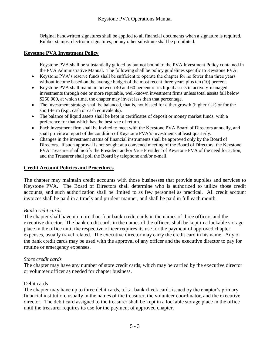Original handwritten signatures shall be applied to all financial documents when a signature is required. Rubber stamps, electronic signatures, or any other substitute shall be prohibited.

#### **Keystone PVA Investment Policy**

Keystone PVA shall be substantially guided by but not bound to the PVA Investment Policy contained in the PVA Administrative Manual. The following shall be policy guidelines specific to Keystone PVA:

- Keystone PVA's reserve funds shall be sufficient to operate the chapter for no fewer than three years without income based on the average budget of the most recent three years plus ten (10) percent.
- Keystone PVA shall maintain between 40 and 60 percent of its liquid assets in actively-managed investments through one or more reputable, well-known investment firms unless total assets fall below \$250,000, at which time, the chapter may invest less than that percentage.
- The investment strategy shall be balanced, that is, not biased for either growth (higher risk) or for the short-term (e.g., cash or cash equivalents).
- The balance of liquid assets shall be kept in certificates of deposit or money market funds, with a preference for that which has the best rate of return.
- Each investment firm shall be invited to meet with the Keystone PVA Board of Directors annually, and shall provide a report of the condition of Keystone PVA's investments at least quarterly.
- Changes in the investment status of financial instruments shall be approved only by the Board of Directors. If such approval is not sought at a convened meeting of the Board of Directors, the Keystone PVA Treasurer shall notify the President and/or Vice President of Keystone PVA of the need for action, and the Treasurer shall poll the Board by telephone and/or e-mail.

#### **Credit Account Policies and Procedures**

The chapter may maintain credit accounts with those businesses that provide supplies and services to Keystone PVA. The Board of Directors shall determine who is authorized to utilize those credit accounts, and such authorization shall be limited to as few personnel as practical. All credit account invoices shall be paid in a timely and prudent manner, and shall be paid in full each month.

#### *Bank credit cards*

The chapter shall have no more than four bank credit cards in the names of three officers and the executive director. The bank credit cards in the names of the officers shall be kept in a lockable storage place in the office until the respective officer requires its use for the payment of approved chapter expenses, usually travel related. The executive director may carry the credit card in his name. Any of the bank credit cards may be used with the approval of any officer and the executive director to pay for routine or emergency expenses.

#### *Store credit cards*

The chapter may have any number of store credit cards, which may be carried by the executive director or volunteer officer as needed for chapter business.

#### Debit cards

The chapter may have up to three debit cards, a.k.a. bank check cards issued by the chapter's primary financial institution, usually in the names of the treasurer, the volunteer coordinator, and the executive director. The debit card assigned to the treasurer shall be kept in a lockable storage place in the office until the treasurer requires its use for the payment of approved chapter.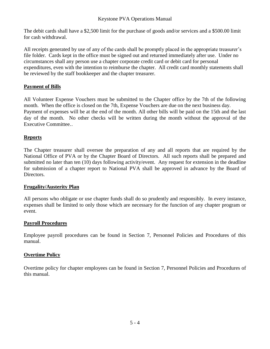The debit cards shall have a \$2,500 limit for the purchase of goods and/or services and a \$500.00 limit for cash withdrawal.

All receipts generated by use of any of the cards shall be promptly placed in the appropriate treasurer's file folder. Cards kept in the office must be signed out and returned immediately after use. Under no circumstances shall any person use a chapter corporate credit card or debit card for personal expenditures, even with the intention to reimburse the chapter. All credit card monthly statements shall be reviewed by the staff bookkeeper and the chapter treasurer.

#### **Payment of Bills**

All Volunteer Expense Vouchers must be submitted to the Chapter office by the 7th of the following month. When the office is closed on the 7th, Expense Vouchers are due on the next business day. Payment of expenses will be at the end of the month. All other bills will be paid on the 15th and the last day of the month. No other checks will be written during the month without the approval of the Executive Committee..

#### **Reports**

The Chapter treasurer shall oversee the preparation of any and all reports that are required by the National Office of PVA or by the Chapter Board of Directors. All such reports shall be prepared and submitted no later than ten (10) days following activity/event. Any request for extension in the deadline for submission of a chapter report to National PVA shall be approved in advance by the Board of Directors.

#### **Frugality/Austerity Plan**

All persons who obligate or use chapter funds shall do so prudently and responsibly. In every instance, expenses shall be limited to only those which are necessary for the function of any chapter program or event.

#### **Payroll Procedures**

Employee payroll procedures can be found in Section 7, Personnel Policies and Procedures of this manual.

## **Overtime Policy**

Overtime policy for chapter employees can be found in Section 7, Personnel Policies and Procedures of this manual.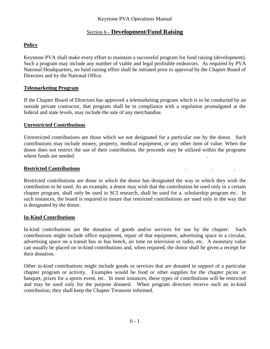# Section 6 - **Development/Fund Raising**

#### **Policy**

Keystone PVA shall make every effort to maintain a successful program for fund raising (development). Such a program may include any number of viable and legal profitable endeavors. As required by PVA National Headquarters, no fund raising effort shall be initiated prior to approval by the Chapter Board of Directors and by the National Office.

#### **Telemarketing Program**

If the Chapter Board of Directors has approved a telemarketing program which is to be conducted by an outside private contractor, that program shall be in compliance with a regulation promulgated at the federal and state levels, may include the sale of any merchandise.

#### **Unrestricted Contributions**

Unrestricted contributions are those which we not designated for a particular use by the donor. Such contributions may include money, property, medical equipment, or any other item of value. When the donor does not restrict the use of their contribution, the proceeds may be utilized within the programs where funds are needed.

#### **Restricted Contributions**

Restricted contributions are those in which the donor has designated the way in which they wish the contribution to be used. As an example, a donor may wish that the contribution be used only in a certain chapter program, shall only be used in SCI research, shall be used for a. scholarship program etc. In such instances, the board is required to insure that restricted contributions are used only in the way that is designated by the donor.

#### **In-Kind Contributions**

In-kind contributions are the donation of goods and/or services for use by the chapter. Such contributions might include office equipment, repair of that equipment, advertising space in a circular, advertising space on a transit bus or bus bench, air time on television or radio, etc. A monetary value can usually be placed on in-kind contributions and, when required, the donor shall be given a receipt for their donation.

Other in-kind contributions might include goods or services that are donated in support of a particular chapter program or activity. Examples would be food or other supplies for the chapter picnic or banquet, prizes for a sports event, etc. In most instances, these types of contributions will be restricted and may be used only for the purpose donated. When program directors receive such an in-kind contribution, they shall keep the Chapter Treasurer informed.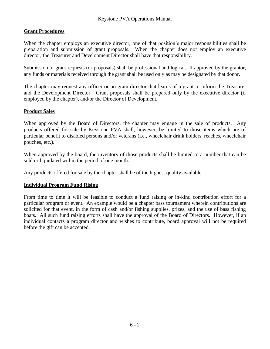#### **Grant Procedures**

When the chapter employs an executive director, one of that position's major responsibilities shall be preparation and submission of grant proposals. When the chapter does not employ an executive director, the Treasurer and Development Director shall have that responsibility.

Submission of grant requests (or proposals) shall be professional and logical. If approved by the grantor, any funds or materials received through the grant shall be used only as may be designated by that donor.

The chapter may request any officer or program director that learns of a grant to inform the Treasurer and the Development Director. Grant proposals shall be prepared only by the executive director (if employed by the chapter), and/or the Director of Development.

#### **Product Sales**

When approved by the Board of Directors, the chapter may engage in the sale of products. Any products offered for sale by Keystone PVA shall, however, be limited to those items which are of particular benefit to disabled persons and/or veterans (i.e., wheelchair drink holders, reaches, wheelchair pouches, etc.).

When approved by the board, the inventory of those products shall be limited to a number that can be sold or liquidated within the period of one month.

Any products offered for sale by the chapter shall be of the highest quality available.

#### **Individual Program Fund Rising**

From time to time it will be feasible to conduct a fund raising or in-kind contribution effort for a particular program or event. An example would be a chapter bass tournament wherein contributions are solicited for that event, in the form of cash and/or fishing supplies, prizes, and the use of bass fishing boats. All such fund raising efforts shall have the approval of the Board of Directors. However, if an individual contacts a program director and wishes to contribute, board approval will not be required before the gift can be accepted.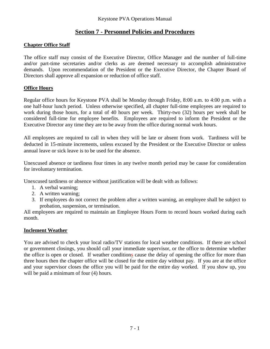# **Section 7 - Personnel Policies and Procedures**

#### **Chapter Office Staff**

The office staff may consist of the Executive Director, Office Manager and the number of full-time and/or part-time secretaries and/or clerks as are deemed necessary to accomplish administrative demands. Upon recommendation of the President or the Executive Director, the Chapter Board of Directors shall approve all expansion or reduction of office staff.

#### **Office Hours**

Regular office hours for Keystone PVA shall be Monday through Friday, 8:00 a.m. to 4:00 p.m. with a one half-hour lunch period. Unless otherwise specified, all chapter full-time employees are required to work during those hours, for a total of 40 hours per week. Thirty-two (32) hours per week shall be considered full-time for employee benefits. Employees are required to inform the President or the Executive Director any time they are to be away from the office during normal work hours.

All employees are required to call in when they will be late or absent from work. Tardiness will be deducted in 15-minute increments, unless excused by the President or the Executive Director or unless annual leave or sick leave is to be used for the absence.

Unexcused absence or tardiness four times in any twelve month period may be cause for consideration for involuntary termination.

Unexcused tardiness or absence without justification will be dealt with as follows:

- 1. A verbal warning;
- 2. A written warning;
- 3. If employees do not correct the problem after a written warning, an employee shall be subject to probation, suspension, or termination.

All employees are required to maintain an Employee Hours Form to record hours worked during each month.

## **Inclement Weather**

You are advised to check your local radio/TV stations for local weather conditions. If there are school or government closings, you should call your immediate supervisor, or the office to determine whether the office is open or closed. If weather conditions cause the delay of opening the office for more than three hours then the chapter office will be closed for the entire day without pay. If you are at the office and your supervisor closes the office you will be paid for the entire day worked. If you show up, you will be paid a minimum of four  $(4)$  hours.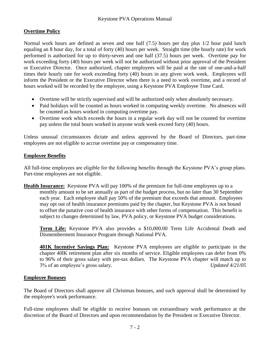#### **Overtime Policy**

Normal work hours are defined as seven and one half (7.5*)* hours per day plus 1/2 hour paid lunch equaling an 8 hour day, for a total of forty (40) hours per week. Straight time (the hourly rate) for work performed is authorized for up to thirty-seven and one half (37.5) hours per week. Overtime pay for work exceeding forty (40) hours per week will not be authorized without prior approval of the President or Executive Director. Once authorized, chapter employees will be paid at the rate of one-and-a-half times their hourly rate for work exceeding forty (40) hours in any given work week. Employees will inform the President or the Executive Director when there is a need to work overtime, and a record of hours worked will be recorded by the employee, using a Keystone PVA Employee Time Card.

- Overtime will be strictly supervised and will be authorized only when absolutely necessary.
- Paid holidays will be counted as hours worked in computing weekly overtime. No absences will be counted as hours worked in computing overtime pay.
- Overtime work which exceeds the hours in a regular work day will not be counted for overtime pay unless the total hours worked in anyone work week exceed forty (40) hours.

Unless unusual circumstances dictate and unless approved by the Board of Directors, part-time employees are not eligible to accrue overtime pay or compensatory time.

#### **Employee Benefits**

All full-time employees are eligible for the following benefits through the Keystone PVA's group plans. Part-time employees are not eligible.

**Health Insurance:** Keystone PVA will pay 100% of the premium for full-time employees up to a monthly amount to be set annually as part of the budget process, but no later than 30 September each year. Each employee shall pay 50% of the premium that exceeds that amount. Employees may opt out of health insurance premiums paid by the chapter, but Keystone PVA is not bound to offset the putative cost of health insurance with other forms of compensation. This benefit is subject to changes determined by law, PVA policy, or Keystone PVA budget considerations.

**Term Life:** Keystone PVA also provides a \$10,000.00 Term Life Accidental Death and Dismemberment Insurance Program through National PVA.

**401K Incentive Savings Plan:** Keystone PVA employees are eligible to participate in the chapter 40lK retirement plan after six months of service. Eligible employees can defer from 0% to 96% of their gross salary with pre-tax dollars. The Keystone PVA chapter will match up to 3% of an employee's gross salary. *Updated 4/21/05*

#### **Employee Bonuses**

The Board of Directors shall approve all Christmas bonuses, and such approval shall be determined by the employee's work performance.

Full-time employees shall be eligible to receive bonuses on extraordinary work performance at the discretion of the Board of Directors and upon recommendation by the President or Executive Director.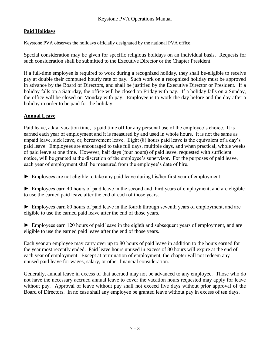## **Paid Holidays**

Keystone PVA observes the holidays officially designated by the national PVA office.

Special consideration may be given for specific religious holidays on an individual basis. Requests for such consideration shall be submitted to the Executive Director or the Chapter President.

If a full-time employee is required to work during a recognized holiday, they shall be-eligible to receive pay at double their computed hourly rate of pay. Such work on a recognized holiday must be approved in advance by the Board of Directors, and shall be justified by the Executive Director or President. If a holiday falls on a Saturday, the office will be closed on Friday with pay. If a holiday falls on a Sunday, the office will be closed on Monday with pay. Employee is to work the day before and the day after a holiday in order to be paid for the holiday.

# **Annual Leave**

Paid leave, a.k.a. vacation time, is paid time off for any personal use of the employee's choice. It is earned each year of employment and it is measured by and used in whole hours. It is not the same as unpaid leave, sick leave, or, bereavement leave. Eight (8) hours paid leave is the equivalent of a day's paid leave. Employees are encouraged to take full days, multiple days, and when practical, whole weeks of paid leave at one time. However, half days (four hours) of paid leave, requested with sufficient notice, will be granted at the discretion of the employee's supervisor. For the purposes of paid leave, each year of employment shall be measured from the employee's date of hire.

► Employees are not eligible to take any paid leave during his/her first year of employment.

- ► Employees earn 40 hours of paid leave in the second and third years of employment, and are eligible to use the earned paid leave after the end of each of those years.
- ► Employees earn 80 hours of paid leave in the fourth through seventh years of employment, and are eligible to use the earned paid leave after the end of those years.

► Employees earn 120 hours of paid leave in the eighth and subsequent years of employment, and are eligible to use the earned paid leave after the end of those years.

Each year an employee may carry over up to 80 hours of paid leave in addition to the hours earned for the year most recently ended. Paid leave hours unused in excess of 80 hours will expire at the end of each year of employment. Except at termination of employment, the chapter will not redeem any unused paid leave for wages, salary, or other financial consideration.

Generally, annual leave in excess of that accrued may not be advanced to any employee. Those who do not have the necessary accrued annual leave to cover the vacation hours requested may apply for leave without pay. Approval of leave without pay shall not exceed five days without prior approval of the Board of Directors. In no case shall any employee be granted leave without pay in excess of ten days.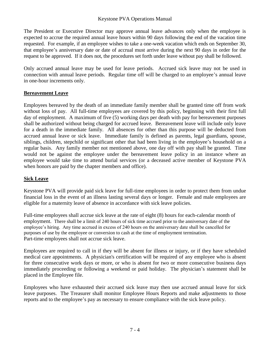The President or Executive Director may approve annual leave advances only when the employee is expected to accrue the required annual leave hours within 90 days following the end of the vacation time requested. For example, if an employee wishes to take a one-week vacation which ends on September 30, that employee's anniversary date or date of accrual must arrive during the next 90 days in order for the request to be approved. If it does not, the procedures set forth under leave without pay shall be followed.

Only accrued annual leave may be used for leave periods. Accrued sick leave may not be used in connection with annual leave periods. Regular time off will be charged to an employee's annual leave in one-hour increments only.

#### **Bereavement Leave**

Employees bereaved by the death of an immediate family member shall be granted time off from work without loss of pay. All full-time employees are covered by this policy, beginning with their first full day of employment. A maximum of five (5) working days per death with pay for bereavement purposes shall be authorized without being charged for accrued leave. Bereavement leave will include only leave for a death in the immediate family. All absences for other than this purpose will be deducted from accrued annual leave or sick leave. Immediate family is defined as parents, legal guardians, spouse, siblings, children, stepchild or significant other that had been living in the employee's household on a regular basis. Any family member not mentioned above, one day off with pay shall be granted. Time would not be against the employee under the bereavement leave policy in an instance where an employee would take time to attend burial services (or a deceased active member of Keystone PVA when honors are paid by the chapter members and office).

#### **Sick Leave**

Keystone PVA will provide paid sick leave for full-time employees in order to protect them from undue financial loss in the event of an illness lasting several days or longer. Female and male employees are eligible for a maternity leave of absence in accordance with sick leave policies.

Full-time employees shall accrue sick leave at the rate of eight (8) hours for each-calendar month of employment. There shall be a limit of 240 hours of sick time accrued prior to the anniversary date of the employee's hiring. Any time accrued in excess of 240 hours on the anniversary date shall be cancelled for purposes of use by the employee or conversion to cash at the time of employment termination. Part-time employees shall not accrue sick leave.

Employees are required to call in if they will be absent for illness or injury, or if they have scheduled medical care appointments. A physician's certification will be required of any employee who is absent for three consecutive work days or more, or who is absent for two or more consecutive business days immediately proceeding or following a weekend or paid holiday. The physician's statement shall be placed in the Employee file.

Employees who have exhausted their accrued sick leave may then use accrued annual leave for sick leave purposes. The Treasurer shall monitor Employee Hours Reports and make adjustments to those reports and to the employee's pay as necessary to ensure compliance with the sick leave policy.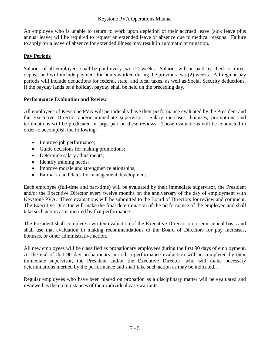An employee who is unable to return to work upon depletion of their accrued leave (sick leave plus annual leave) will be required to request an extended leave of absence due to medical reasons. Failure to apply for a leave of absence for extended illness may result in automatic termination.

# **Pay Periods**

Salaries of all employees shall be paid every two (2) weeks. Salaries will be paid by check or direct deposit and will include payment for hours worked during the previous two (2) weeks. All regular pay periods will include deductions for federal, state, and local taxes, as well as Social Security deductions. If the payday lands on a holiday, payday shall be held on the preceding day.

#### **Performance Evaluation and Review**

All employees of Keystone PVA will periodically have their performance evaluated by the President and the Executive Director and/or immediate supervisor. Salary increases, bonuses, promotions and terminations will be predicated in large part on these reviews. Those evaluations will be conducted in order to accomplish the following:

- Improve job performance;
- Guide decisions for making promotions;
- Determine salary adjustments;
- Identify training needs;
- Improve morale and strengthen relationships;
- Earmark candidates for management development.

Each employee (full-time and part-time) will be evaluated by their immediate supervisor, the President and/or the Executive Director every twelve months on the anniversary of the day of employment with Keystone PVA. These evaluations will be submitted to the Board of Directors for review and comment. The Executive Director will make the final determination of the performance of the employee and shall take such action as is merited by that performance

The President shall complete a written evaluation of the Executive Director on a semi-annual basis and shall use that evaluation in making recommendations to the Board of Directors for pay increases, bonuses, or other administrative action.

All new employees will be classified as probationary employees during the first 90 days of employment. At the end of that 90 day probationary period, a performance evaluation will be completed by their immediate supervisor, the President and/or the Executive Director, who will make necessary determinations merited by the performance and shall take such action as may be indicated. .

Regular employees who have been placed on probation as a disciplinary matter will be evaluated and reviewed as the circumstances of their individual case warrants.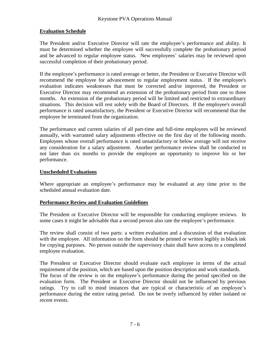#### **Evaluation Schedule**

The President and/or Executive Director will rate the employee's performance and ability. It must be determined whether the employee will successfully complete the probationary period and be advanced to regular employee status. New employees' salaries may be reviewed upon successful completion of their probationary period.

If the employee's performance is rated average or better, the President or Executive Director will recommend the employee for advancement to regular employment status. If the employee's evaluation indicates weaknesses that must be corrected and/or improved, the President or Executive Director may recommend an extension of the probationary period from one to three months. An extension of the probationary period will be limited and restricted to extraordinary situations. This decision will rest solely with the Board of Directors. If the employee's overall performance is rated unsatisfactory, the President or Executive Director will recommend that the employee be terminated from the organization.

The performance and current salaries of all part-time and full-time employees will be reviewed annually, with warranted salary adjustments effective on the first day of the following month. Employees whose overall performance is rated unsatisfactory or below average will not receive any consideration for a salary adjustment. Another performance review shall be conducted in not later than six months to provide the employee an opportunity to improve his or her performance.

#### **Unscheduled Evaluations**

Where appropriate an employee's performance may be evaluated at any time prior to the scheduled annual evaluation date.

#### **Performance Review and Evaluation Guidelines**

The President or Executive Director will be responsible for conducting employee reviews. In some cases it might be advisable that a second person also rate the employee's performance.

The review shall consist of two parts: a written evaluation and a discussion of that evaluation with the employee. All information on the form should be printed or written legibly in black ink for copying purposes. No person outside the supervisory chain shall have access to a completed employee evaluation.

The President or Executive Director should evaluate each employee in terms of the actual requirement of the position, which are based upon the position description and work standards. The focus of the review is on the employee's performance during the period specified on the evaluation form. The President or Executive Director should not be influenced by previous ratings. Try to call to mind instances that are typical or characteristic of an employee's performance during the entire rating period. Do not be overly influenced by either isolated or recent events.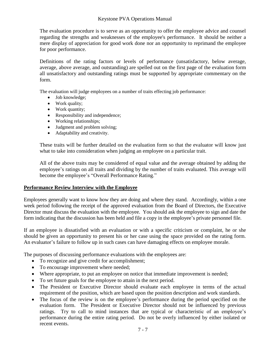The evaluation procedure is to serve as an opportunity to offer the employee advice and counsel regarding the strengths and weaknesses of the employee's performance. It should be neither a mere display of appreciation for good work done nor an opportunity to reprimand the employee for poor performance.

Definitions of the rating factors or levels of performance (unsatisfactory, below average, average, above average, and outstanding) are spelled out on the first page of the evaluation form all unsatisfactory and outstanding ratings must be supported by appropriate commentary on the form.

The evaluation will judge employees on a number of traits effecting job performance:

- Job knowledge:
- Work quality;
- Work quantity;
- Responsibility and independence;
- Working relationships;
- Judgment and problem solving;
- Adaptability and creativity.

These traits will be further detailed on the evaluation form so that the evaluator will know just what to take into consideration when judging an employee on a particular trait.

All of the above traits may be considered of equal value and the average obtained by adding the employee's ratings on all traits and dividing by the number of traits evaluated. This average will become the employee's "Overall Performance Rating."

#### **Performance Review Interview with the Employee**

Employees generally want to know how they are doing and where they stand. Accordingly, within a one week period following the receipt of the approved evaluation from the Board of Directors, the Executive Director must discuss the evaluation with the employee. You should ask the employee to sign and date the form indicating that the discussion has been held and file a copy in the employee's private personnel file.

If an employee is dissatisfied with an evaluation or with a specific criticism or complaint, he or she should be given an opportunity to present his or her case using the space provided on the rating form. An evaluator's failure to follow up in such cases can have damaging effects on employee morale.

The purposes of discussing performance evaluations with the employees are:

- To recognize and give credit for accomplishment;
- To encourage improvement where needed;
- Where appropriate, to put an employee on notice that immediate improvement is needed;
- To set future goals for the employee to attain in the next period.
- The President or Executive Director should evaluate each employee in terms of the actual requirement of the position, which are based upon the position description and work standards.
- The focus of the review is on the employee's performance during the period specified on the evaluation form. The President or Executive Director should not be influenced by previous ratings. Try to call to mind instances that are typical or characteristic of an employee's performance during the entire rating period. Do not be overly influenced by either isolated or recent events.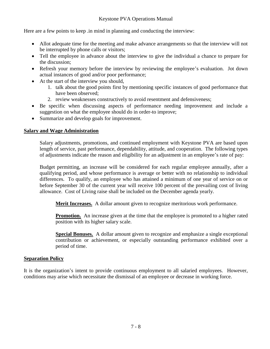Here are a few points to keep .in mind in planning and conducting the interview:

- Allot adequate time for the meeting and make advance arrangements so that the interview will not be interrupted by phone calls or visitors;
- Tell the employee in advance about the interview to give the individual a chance to prepare for the discussion;
- Refresh your memory before the interview by reviewing the employee's evaluation. Jot down actual instances of good and/or poor performance;
- At the start of the interview you should,
	- 1. talk about the good points first by mentioning specific instances of good performance that have been observed;
	- 2. review weaknesses constructively to avoid resentment and defensiveness;
- Be specific when discussing aspects of performance needing improvement and include a suggestion on what the employee should do in order-to improve;
- Summarize and develop goals for improvement.

#### **Salary and Wage Administration**

Salary adjustments, promotions, and continued employment with Keystone PVA are based upon length of service, past performance, dependability, attitude, and cooperation. The following types of adjustments indicate the reason and eligibility for an adjustment in an employee's rate of pay:

Budget permitting, an increase will be considered for each regular employee annually, after a qualifying period, and whose performance is average or better with no relationship to individual differences. To qualify, an employee who has attained a minimum of one year of service on or before September 30 of the current year will receive 100 percent of the prevailing cost of living allowance. Cost of Living raise shall be included on the December agenda yearly.

**Merit Increases.** A dollar amount given to recognize meritorious work performance.

**Promotion.** An increase given at the time that the employee is promoted to a higher rated position with its higher salary scale.

**Special Bonuses.** A dollar amount given to recognize and emphasize a single exceptional contribution or achievement, or especially outstanding performance exhibited over a period of time.

#### **Separation Policy**

It is the organization's intent to provide continuous employment to all salaried employees. However, conditions may arise which necessitate the dismissal of an employee or decrease in working force.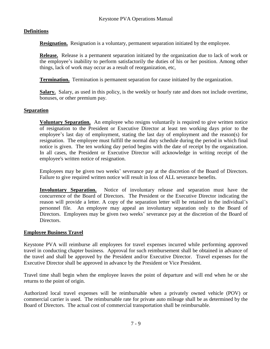#### **Definitions**

**Resignation.** Resignation is a voluntary, permanent separation initiated by the employee.

**Release.** Release is a permanent separation initiated by the organization due to lack of work or the employee's inability to perform satisfactorily the duties of his or her position. Among other things, lack of work may occur as a result of reorganization, etc,

**Termination.** Termination is permanent separation for cause initiated by the organization.

Salary. Salary, as used in this policy, is the weekly or hourly rate and does not include overtime, bonuses, or other premium pay.

#### **Separation**

**Voluntary Separation.** An employee who resigns voluntarily is required to give written notice of resignation to the President or Executive Director at least ten working days prior to the employee's last day of employment, stating the last day of employment and the reason(s) for resignation. The employee must fulfill the normal duty schedule during the period in which final notice is given. The ten working day period begins with the date of receipt by the organization. In all cases, the President or Executive Director will acknowledge in writing receipt of the employee's written notice of resignation.

Employees may be given two weeks' severance pay at the discretion of the Board of Directors. Failure to give required written notice will result in loss of ALL severance benefits.

**Involuntary Separation.** Notice of involuntary release and separation must have the concurrence of the Board of Directors. The President or the Executive Director indicating the reason will provide a letter. A copy of the separation letter will be retained in the individual's personnel file. An employee may appeal an involuntary separation only to the Board of Directors. Employees may be given two weeks' severance pay at the discretion of the Board of Directors.

#### **Employee Business Travel**

Keystone PVA will reimburse all employees for travel expenses incurred while performing approved travel in conducting chapter business. Approval for such reimbursement shall be obtained in advance of the travel and shall be approved by the President and/or Executive Director. Travel expenses for the Executive Director shall be approved in advance by the President or Vice President.

Travel time shall begin when the employee leaves the point of departure and will end when he or she returns to the point of origin.

Authorized local travel expenses will be reimbursable when a privately owned vehicle (POV) or commercial carrier is used. The reimbursable rate for private auto mileage shall be as determined by the Board of Directors. The actual cost of commercial transportation shall be reimbursable.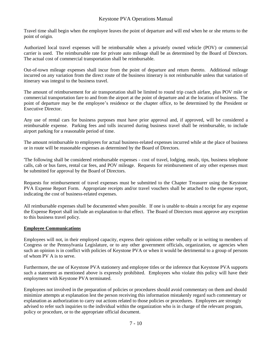Travel time shall begin when the employee leaves the point of departure and will end when he or she returns to the point of origin.

Authorized local travel expenses will be reimbursable when a privately owned vehicle (POV) or commercial carrier is used. The reimbursable rate for private auto mileage shall be as determined by the Board of Directors. The actual cost of commercial transportation shall be reimbursable.

Out-of-town mileage expenses shall incur from the point of departure and return thereto. Additional mileage incurred on any variation from the direct route of the business itinerary is not reimbursable unless that variation of itinerary was integral to the business travel.

The amount of reimbursement for air transportation shall be limited to round trip coach airfare, plus POV mile or commercial transportation fare to and from the airport at the point of departure and at the location of business. The point of departure may be the employee's residence or the chapter office, to be determined by the President or Executive Director.

Any use of rental cars for business purposes must have prior approval and, if approved, will be considered a reimbursable expense. Parking fees and tolls incurred during business travel shall be reimbursable, to include airport parking for a reasonable period of time.

The amount reimbursable to employees for actual business-related expenses incurred while at the place of business or in route will be reasonable expenses as determined by the Board of Directors.

'The following shall be considered reimbursable expenses - cost of travel, lodging, meals, tips, business telephone calls, cab or bus fares, rental car fees, and POV mileage. Requests for reimbursement of any other expenses must be submitted for approval by the Board of Directors.

Requests for reimbursement of travel expenses must be submitted to the Chapter Treasurer using the Keystone PVA Expense Report Form. Appropriate receipts and/or travel vouchers shall be attached to the expense report, indicating the cost of business-related expenses.

All reimbursable expenses shall be documented when possible. If one is unable to obtain a receipt for any expense the Expense Report shall include an explanation to that effect. The Board of Directors must approve any exception to this business travel policy.

#### **Employee Communications**

Employees will not, in their employed capacity, express their opinions either verbally or in writing to members of Congress or the Pennsylvania Legislature, or to any other government officials, organization, or agencies when such an opinion is in conflict with policies of Keystone PVA or when it would be detrimental to a group of persons of whom PV A is to serve.

Furthermore, the use of Keystone PVA stationery and employee titles or the inference that Keystone PVA supports such a statement as mentioned above is expressly prohibited. Employees who violate this policy will have their employment with Keystone PVA terminated.

Employees not involved in the preparation of policies or procedures should avoid commentary on them and should minimize attempts at explanation lest the person receiving this information mistakenly regard such commentary or explanation as authorization to carry out actions related to those policies or procedures. Employees are strongly advised to refer such inquiries to the individual within the organization who is in charge of the relevant program, policy or procedure, or to the appropriate official document.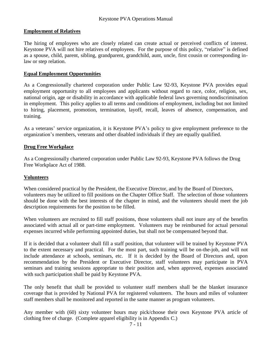#### **Employment of Relatives**

The hiring of employees who are closely related can create actual or perceived conflicts of interest. Keystone PVA will not hire relatives of employees. For the purpose of this policy, "relative" is defined as a spouse, child, parent, sibling, grandparent, grandchild, aunt, uncle, first cousin or corresponding inlaw or step relation.

#### **Equal Employment Opportunities**

As a Congressionally chartered corporation under Public Law 92-93, Keystone PVA provides equal employment opportunity to all employees and applicants without regard to race, color, religion, sex, national origin, age or disability in accordance with applicable federal laws governing nondiscrimination in employment. This policy applies to all terms and conditions of employment, including but not limited to hiring, placement, promotion, termination, layoff, recall, leaves of absence, compensation, and training.

As a veterans' service organization, it is Keystone PVA's policy to give employment preference to the organization's members, veterans and other disabled individuals if they are equally qualified.

#### **Drug Free Workplace**

As a Congressionally chartered corporation under Public Law 92-93, Keystone PVA follows the Drug Free Workplace Act of 1988.

#### **Volunteers**

When considered practical by the President, the Executive Director, and by the Board of Directors, volunteers may be utilized to fill positions on the Chapter Office Staff. The selection of those volunteers should be done with the best interests of the chapter in mind, and the volunteers should meet the job description requirements for the position to be filled.

When volunteers are recruited to fill staff positions, those volunteers shall not inure any of the benefits associated with actual all or part-time employment. Volunteers may be reimbursed for actual personal expenses incurred while performing appointed duties, but shall not be compensated beyond that.

If it is decided that a volunteer shall fill a staff position, that volunteer will be trained by Keystone PVA to the extent necessary and practical. For the most part, such training will be on-the-job, and will not include attendance at schools, seminars, etc. If it is decided by the Board of Directors and, upon recommendation by the President or Executive Director, staff volunteers may participate in PVA seminars and training sessions appropriate to their position and, when approved, expenses associated with such participation shall be paid by Keystone PVA.

The only benefit that shall be provided to volunteer staff members shall be the blanket insurance coverage that is provided by National PVA for registered volunteers. The hours and miles of volunteer staff members shall be monitored and reported in the same manner as program volunteers.

Any member with (60) sixty volunteer hours may pick/choose their own Keystone PVA article of clothing free of charge. (Complete apparel eligibility is in Appendix C.)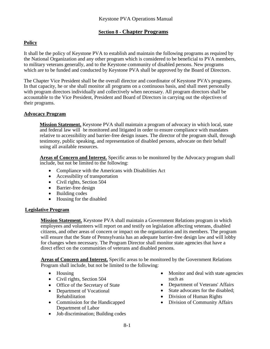## **Section 8 - Chapter Programs**

#### **Policy**

It shall be the policy of Keystone PVA to establish and maintain the following programs as required by the National Organization and any other program which is considered to be beneficial to PVA members, to military veterans generally, and to the Keystone community of disabled persons. New programs which are to be funded and conducted by Keystone PVA shall be approved by the Board of Directors.

The Chapter Vice President shall be the overall director and coordinator of Keystone PVA's programs. In that capacity, he or she shall monitor all programs on a continuous basis, and shall meet personally with program directors individually and collectively when necessary. All program directors shall be accountable to the Vice President, President and Board of Directors in carrying out the objectives of their programs.

#### **Advocacy Program**

**Mission Statement.** Keystone PVA shall maintain a program of advocacy in which local, state and federal law will -be monitored and litigated in order to ensure compliance with mandates relative to accessibility and barrier-free design issues. The director of the program shall, through testimony, public speaking, and representation of disabled persons, advocate on their behalf using all available resources.

**Areas of Concern and Interest.** Specific areas to be monitored by the Advocacy program shall include, but not be limited to the following:

- Compliance with the Americans with Disabilities Act
- Accessibility of transportation
- Civil rights, Section 504
- Barrier-free design
- Building codes
- Housing for the disabled

#### **Legislative Program**

**Mission Statement.** Keystone PVA shall maintain a Government Relations program in which employees and volunteers will report on and testify on legislation affecting veterans, disabled citizens, and other areas of concern or impact on the organization and its members. The program will ensure that the State of Pennsylvania has an adequate barrier-free design law and will lobby for changes when necessary. The Program Director shall monitor state agencies that have a direct effect on the communities of veterans and disabled persons.

**Areas of Concern and Interest.** Specific areas to be monitored by the Government Relations Program shall include, but not be limited to the following:

- Housing
- Civil rights, Section 504
- Office of the Secretary of State
- Department of Vocational Rehabilitation
- Commission for the Handicapped Department of Labor
- Job discrimination; Building codes
- Monitor and deal with state agencies such as
- Department of Veterans' Affairs
- State advocates for the disabled;
- Division of Human Rights
- Division of Community Affairs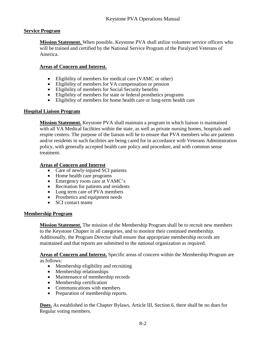#### **Service Program**

**Mission Statement.** When possible, Keystone PVA shall utilize volunteer service officers who will be trained and certified by the National Service Program of the Paralyzed Veterans of America.

#### **Areas of Concern and Interest.**

- Eligibility of members for medical care (VAMC or other)
- Eligibility of members for VA compensation or pension
- Eligibility of members for Social Security benefits
- Eligibility of members for state or federal prosthetics programs
- Eligibility of members for home health care or long-term health care

#### **Hospital Liaison Program**

**Mission Statement.** Keystone PVA shall maintain a program in which liaison is maintained with all VA Medical facilities within the state, as well as private nursing homes, hospitals and respite centers. The purpose of the liaison will be to ensure that PVA members who are patients and/or residents in such facilities are being cared for in accordance with Veterans Administration policy, with generally accepted health care policy and procedure, and with common sense treatment.

#### **Areas of Concern and Interest**

- Care of newly-injured SCI patients
- Home health care programs
- Emergency room care at VAMC's
- Recreation for patients and residents
- Long term care of PVA members
- Prosthetics and equipment needs
- SCI contact teams

#### **Membership Program**

**Mission Statement.** The mission of the Membership Program shall be to recruit new members to the Keystone Chapter in all categories, and to monitor their continued membership. Additionally, the Program Director shall ensure that appropriate membership records are maintained and that reports are submitted to the national organization as required.

**Areas of Concern and Interest.** Specific areas of concern within the Membership Program are as follows:

- Membership eligibility and recruiting
- Membership relationships
- Maintenance of membership records
- Membership certification
- Communications with members
- Preparation of membership reports.

**Dues.** As established in the Chapter Bylaws, Article III, Section 6, there shall be no dues for Regular voting members.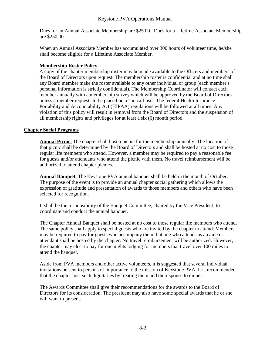Dues for an Annual Associate Membership are \$25.00. Dues for a Lifetime Associate Membership are \$250.00.

When an Annual Associate Member has accumulated over 300 hours of volunteer time, he/she shall become eligible for a Lifetime Associate Member.

#### **Membership Roster Policy**

A copy of the chapter membership roster may be made available to the Officers and members of the Board of Directors upon request. The membership roster is confidential and at no time shall any Board member make the roster available to any other individual or group (each member's personal information is strictly confidential). The Membership Coordinator will contact each member annually with a membership survey which will be approved by the Board of Directors unless a member requests to be placed on a "no call list". The federal Health Insurance Portability and Accountability Act (HIPAA) regulations will be followed at all times. Any violation of this policy will result in removal from the Board of Directors and the suspension of all membership rights and privileges for at least a six (6) month period.

#### **Chapter Social Programs**

**Annual Picnic.** The chapter shall host a picnic for the membership annually. The location of that picnic shall be determined by the Board of Directors and shall be hosted at no cost to those regular life members who attend. However, a member may be required to pay a reasonable fee for guests and/or attendants who attend the picnic with them. No travel reimbursement will be authorized to attend chapter picnics.

**Annual Banquet.** The Keystone PVA annual banquet shall be held in the month of October. The purpose of the event is to provide an annual chapter social gathering which allows the expression of gratitude and presentation of awards to those members and others who have been selected for recognition.

It shall be the responsibility of the Banquet Committee, chaired by the Vice President, to coordinate and conduct the annual banquet.

The Chapter Annual Banquet shall be hosted at no cost to those regular life members who attend. The same policy shall apply to special guests who are invited by the chapter to attend. Members may be required to pay for guests who accompany them, but one who attends as an aide or attendant shall be hosted by the chapter. No travel reimbursement will be authorized. However, the chapter may elect to pay for one nights lodging for members that travel over 100 miles to attend the banquet.

Aside from PVA members and other active volunteers, it is suggested that several individual invitations be sent to persons of importance to the mission of Keystone PVA. It is recommended that the chapter host such dignitaries by treating them and their spouse to dinner.

The Awards Committee shall give their recommendations for the awards to the Board of Directors for its consideration. The president may also have some special awards that he or she will want to present.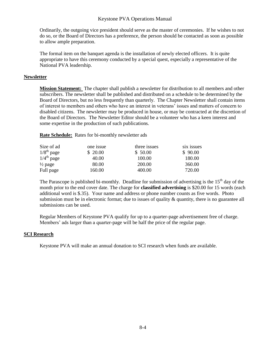Ordinarily, the outgoing vice president should serve as the master of ceremonies. If he wishes to not do so, or the Board of Directors has a preference, the person should be contacted as soon as possible to allow ample preparation.

The formal item on the banquet agenda is the installation of newly elected officers. It is quite appropriate to have this ceremony conducted by a special quest, especially a representative of the National PVA leadership.

#### **Newsletter**

**Mission Statement:** The chapter shall publish a newsletter for distribution to all members and other subscribers. The newsletter shall be published and distributed on a schedule to be determined by the Board of Directors, but no less frequently than quarterly. The Chapter Newsletter shall contain items of interest to members and others who have an interest in veterans' issues and matters of concern to disabled citizens. The newsletter may be produced in house, or may be contracted at the discretion of the Board of Directors. The Newsletter Editor should be a volunteer who has a keen interest and some expertise in the production of such publications.

**Rate Schedule:** Rates for bi-monthly newsletter ads

| Size of ad               | one issue | three issues | six issues |
|--------------------------|-----------|--------------|------------|
| $1/8^{th}$ page          | \$20.00   | \$50.00      | \$90.00    |
| $1/4$ <sup>th</sup> page | 40.00     | 100.00       | 180.00     |
| $\frac{1}{2}$ page       | 80.00     | 200.00       | 360.00     |
| Full page                | 160.00    | 400.00       | 720.00     |

The Parascope is published bi-monthly. Deadline for submission of advertising is the  $15<sup>th</sup>$  day of the month prior to the end cover date. The charge for **classified advertising** is \$20.00 for 15 words (each additional word is \$.35). Your name and address or phone number counts as five words. Photo submission must be in electronic format; due to issues of quality  $\&$  quantity, there is no guarantee all submissions can be used.

Regular Members of Keystone PVA qualify for up to a quarter-page advertisement free of charge. Members' ads larger than a quarter-page will be half the price of the regular page.

#### **SCI Research**

Keystone PVA will make an annual donation to SCI research when funds are available.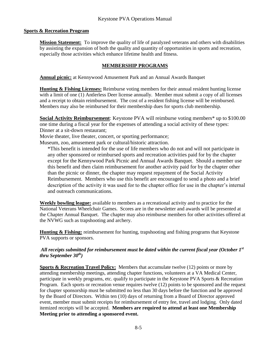#### **Sports & Recreation Program**

**Mission Statement:** To improve the quality of life of paralyzed veterans and others with disabilities by assisting the expansion of both the quality and quantity of opportunities in sports and recreation, especially those activities which enhance lifetime health and fitness.

#### **MEMBERSHIP PROGRAMS**

**Annual picnic:** at Kennywood Amusement Park and an Annual Awards Banquet

**Hunting & Fishing Licenses:** Reimburse voting members for their annual resident hunting license with a limit of one (1) Antlerless Deer license annually. Member must submit a copy of all licenses and a receipt to obtain reimbursement. The cost of a resident fishing license will be reimbursed. Members may also be reimbursed for their membership dues for sports club membership.

**Social Activity Reimbursement**: Keystone PVA will reimburse voting members\* up to \$100.00 one time during a fiscal year for the expenses of attending a social activity of these types: Dinner at a sit-down restaurant;

Movie theater, live theater, concert, or sporting performance;

Museum, zoo, amusement park or cultural/historic attraction.

\*This benefit is intended for the use of life members who do not and will not participate in any other sponsored or reimbursed sports and recreation activities paid for by the chapter except for the Kennywood Park Picnic and Annual Awards Banquet. Should a member use this benefit and then claim reimbursement for another activity paid for by the chapter other than the picnic or dinner, the chapter may request repayment of the Social Activity Reimbursement. Members who use this benefit are encouraged to send a photo and a brief description of the activity it was used for to the chapter office for use in the chapter's internal and outreach communications.

**Weekly bowling league:** available to members as a recreational activity and to practice for the National Veterans Wheelchair Games. Scores are in the newsletter and awards will be presented at the Chapter Annual Banquet. The chapter may also reimburse members for other activities offered at the NVWG such as trapshooting and archery.

**Hunting & Fishing:** reimbursement for hunting, trapshooting and fishing programs that Keystone PVA supports or sponsors.

#### *All receipts submitted for reimbursement must be dated within the current fiscal year (October 1st thru September 30th)*

**Sports & Recreation Travel Policy:** Members that accumulate twelve (12) points or more by attending membership meetings, attending chapter functions, volunteers at a VA Medical Center, participate in weekly programs, etc. qualify to participate in the Keystone PVA Sports & Recreation Program. Each sports or recreation venue requires twelve (12) points to be sponsored and the request for chapter sponsorship must be submitted no less than 30 days before the function and be approved by the Board of Directors. Within ten (10) days of returning from a Board of Director approved event, member must submit receipts for reimbursement of entry fee, travel and lodging. Only dated itemized receipts will be accepted. **Members are required to attend at least one Membership Meeting prior to attending a sponsored event.**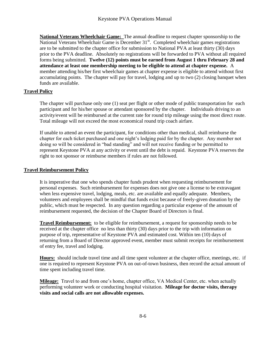**National Veterans Wheelchair Game:** The annual deadline to request chapter sponsorship to the National Veterans Wheelchair Game is December 31<sup>st</sup>. Completed wheelchair games registrations are to be submitted to the chapter office for submission to National PVA at least thirty (30) days prior to the PVA deadline. Absolutely no registrations will be forwarded to PVA without all required forms being submitted. **Twelve (12) points must be earned from August 1 thru February 28 and attendance at least one membership meeting to be eligible to attend at chapter expense.** A member attending his/her first wheelchair games at chapter expense is eligible to attend without first accumulating points. The chapter will pay for travel, lodging and up to two (2) closing banquet when funds are available.

#### **Travel Policy**

The chapter will purchase only one (1) seat per flight or other mode of public transportation for each participant and for his/her spouse or attendant sponsored by the chapter. Individuals driving to an activity/event will be reimbursed at the current rate for round trip mileage using the most direct route. Total mileage will not exceed the most economical round trip coach airfare.

If unable to attend an event the participant, for conditions other than medical, shall reimburse the chapter for each ticket purchased and one night's lodging paid for by the chapter. Any member not doing so will be considered in "bad standing" and will not receive funding or be permitted to represent Keystone PVA at any activity or event until the debt is repaid. Keystone PVA reserves the right to not sponsor or reimburse members if rules are not followed.

#### **Travel Reimbursement Policy**

It is imperative that one who spends chapter funds prudent when requesting reimbursement for personal expenses. Such reimbursement for expenses does not give one a license to be extravagant when less expensive travel, lodging, meals, etc. are available and equally adequate. Members, volunteers and employees shall be mindful that funds exist because of freely-given donation by the public, which must be respected. In any question regarding a particular expense of the amount of reimbursement requested, the decision of the Chapter Board of Directors is final.

**Travel Reimbursement:** to be eligible for reimbursement, a request for sponsorship needs to be received at the chapter office no less than thirty (30) days prior to the trip with information on purpose of trip, representative of Keystone PVA and estimated cost. Within ten (10) days of returning from a Board of Director approved event, member must submit receipts for reimbursement of entry fee, travel and lodging.

**Hours:** should include travel time and all time spent volunteer at the chapter office, meetings, etc. if one is required to represent Keystone PVA on out-of-town business, then record the actual amount of time spent including travel time.

**Mileage:** Travel to and from one's home, chapter office, VA Medical Center, etc. when actually performing volunteer work or conducting hospital visitation. **Mileage for doctor visits, therapy visits and social calls are not allowable expenses.**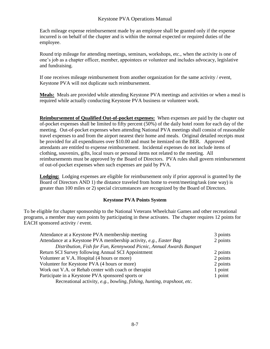Each mileage expense reimbursement made by an employee shall be granted only if the expense incurred is on behalf of the chapter and is within the normal expected or required duties of the employee.

Round trip mileage for attending meetings, seminars, workshops, etc., when the activity is one of one's job as a chapter officer, member, appointees or volunteer and includes advocacy, legislative and fundraising.

If one receives mileage reimbursement from another organization for the same activity / event, Keystone PVA will not duplicate such reimbursement.

**Meals:** Meals are provided while attending Keystone PVA meetings and activities or when a meal is required while actually conducting Keystone PVA business or volunteer work.

**Reimbursement of Qualified Out-of-pocket expenses:** When expenses are paid by the chapter out of-pocket expenses shall be limited to fifty percent (50%) of the daily hotel room for each day of the meeting. Out-of-pocket expenses when attending National PVA meetings shall consist of reasonable travel expenses to and from the airport nearest their home and meals. Original detailed receipts must be provided for all expenditures over \$10.00 and must be itemized on the BER. Approved attendants are entitled to expense reimbursement. Incidental expenses do not include items of clothing, souvenirs, gifts, local tours or personal items not related to the meeting. All reimbursements must be approved by the Board of Directors. PVA rules shall govern reimbursement of out-of-pocket expenses when such expenses are paid by PVA.

**Lodging:** Lodging expenses are eligible for reimbursement only if prior approval is granted by the Board of Directors AND 1) the distance traveled from home to event/meeting/task (one way) is greater than 100 miles or 2) special circumstances are recognized by the Board of Directors.

#### **Keystone PVA Points System**

To be eligible for chapter sponsorship to the National Veterans Wheelchair Games and other recreational programs, a member may earn points by participating in these activates. The chapter requires 12 points for EACH sponsored activity / event.

| Attendance at a Keystone PVA membership meeting                         |          |
|-------------------------------------------------------------------------|----------|
| Attendance at a Keystone PVA membership activity, e.g., Easter Bag      |          |
| Distribution, Fish for Fun, Kennywood Picnic, Annual Awards Banquet     |          |
| <b>Return SCI Survey following Annual SCI Appointment</b>               | 2 points |
| Volunteer at V.A. Hospital (4 hours or more)                            | 2 points |
| Volunteer for Keystone PVA (4 hours or more)                            | 2 points |
| Work out V.A. or Rehab center with coach or therapist                   | 1 point  |
| Participate in a Keystone PVA sponsored sports or                       | 1 point  |
| Recreational activity, e.g., bowling, fishing, hunting, trapshoot, etc. |          |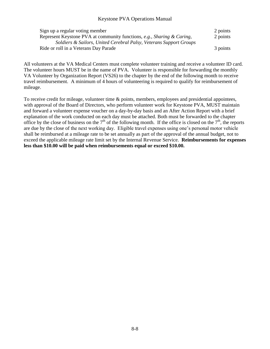| Sign up a regular voting member                                        | 2 points |
|------------------------------------------------------------------------|----------|
| Represent Keystone PVA at community functions, e.g., Sharing & Caring, |          |
| Soldiers & Sailors, United Cerebral Palsy, Veterans Support Groups     |          |
| Ride or roll in a Veterans Day Parade                                  | 3 points |

All volunteers at the VA Medical Centers must complete volunteer training and receive a volunteer ID card. The volunteer hours MUST be in the name of PVA. Volunteer is responsible for forwarding the monthly VA Volunteer by Organization Report (VS26) to the chapter by the end of the following month to receive travel reimbursement. A minimum of 4 hours of volunteering is required to qualify for reimbursement of mileage.

To receive credit for mileage, volunteer time & points, members, employees and presidential appointees, with approval of the Board of Directors, who perform volunteer work for Keystone PVA, MUST maintain and forward a volunteer expense voucher on a day-by-day basis and an After Action Report with a brief explanation of the work conducted on each day must be attached. Both must be forwarded to the chapter office by the close of business on the  $7<sup>th</sup>$  of the following month. If the office is closed on the  $7<sup>th</sup>$ , the reports are due by the close of the next working day. Eligible travel expenses using one's personal motor vehicle shall be reimbursed at a mileage rate to be set annually as part of the approval of the annual budget, not to exceed the applicable mileage rate limit set by the Internal Revenue Service. **Reimbursements for expenses less than \$10.00 will be paid when reimbursements equal or exceed \$10.00.**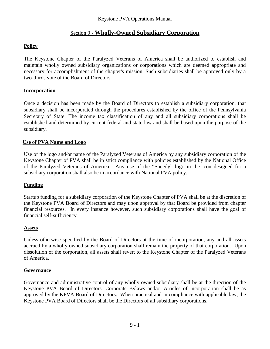# Section 9 - **Wholly-Owned Subsidiary Corporation**

#### **Policy**

The Keystone Chapter of the Paralyzed Veterans of America shall be authorized to establish and maintain wholly owned subsidiary organizations or corporations which are deemed appropriate and necessary for accomplishment of the chapter's mission. Such subsidiaries shall be approved only by a two-thirds vote of the Board of Directors.

#### **Incorporation**

Once a decision has been made by the Board of Directors to establish a subsidiary corporation, that subsidiary shall be incorporated through the procedures established by the office of the Pennsylvania Secretary of State. The income tax classification of any and all subsidiary corporations shall be established and determined by current federal and state law and shall be based upon the purpose of the subsidiary.

#### **Use of PVA Name and Logo**

Use of the logo and/or name of the Paralyzed Veterans of America by any subsidiary corporation of the Keystone Chapter of PVA shall be in strict compliance with policies established by the National Office of the Paralyzed Veterans of America. Any use of the "Speedy" logo in the icon designed for a subsidiary corporation shall also be in accordance with National PVA policy.

## **Funding**

Startup funding for a subsidiary corporation of the Keystone Chapter of PVA shall be at the discretion of the Keystone PVA Board of Directors and may upon approval by that Board be provided from chapter financial resources. In every instance however, such subsidiary corporations shall have the goal of financial self-sufficiency.

#### **Assets**

Unless otherwise specified by the Board of Directors at the time of incorporation, any and all assets accrued by a wholly owned subsidiary corporation shall remain the property of that corporation. Upon dissolution of the corporation, all assets shall revert to the Keystone Chapter of the Paralyzed Veterans of America.

#### **Governance**

Governance and administrative control of any wholly owned subsidiary shall be at the direction of the Keystone PVA Board of Directors. Corporate Bylaws and/or Articles of Incorporation shall be as approved by the KPVA Board of Directors. When practical and in compliance with applicable law, the Keystone PVA Board of Directors shall be the Directors of all subsidiary corporations.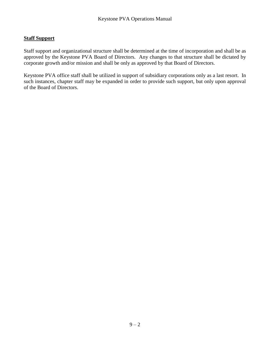#### **Staff Support**

Staff support and organizational structure shall be determined at the time of incorporation and shall be as approved by the Keystone PVA Board of Directors. Any changes to that structure shall be dictated by corporate growth and/or mission and shall be only as approved by that Board of Directors.

Keystone PVA office staff shall be utilized in support of subsidiary corporations only as a last resort. In such instances, chapter staff may be expanded in order to provide such support, but only upon approval of the Board of Directors.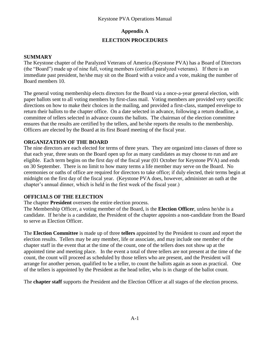# **Appendix A ELECTION PROCEDURES**

#### **SUMMARY**

The Keystone chapter of the Paralyzed Veterans of America (Keystone PVA) has a Board of Directors (the "Board") made up of nine full, voting members (certified paralyzed veterans). If there is an immediate past president, he/she may sit on the Board with a voice and a vote, making the number of Board members 10.

The general voting membership elects directors for the Board via a once-a-year general election, with paper ballots sent to all voting members by first-class mail. Voting members are provided very specific directions on how to make their choices in the mailing, and provided a first-class, stamped envelope to return their ballots to the chapter office. On a date selected in advance, following a return deadline, a committee of tellers selected in advance counts the ballots. The chairman of the election committee ensures that the results are certified by the tellers, and he/she reports the results to the membership. Officers are elected by the Board at its first Board meeting of the fiscal year.

#### **ORGANIZATION OF THE BOARD**

The nine directors are each elected for terms of three years. They are organized into classes of three so that each year, three seats on the Board open up for as many candidates as may choose to run and are eligible. Each term begins on the first day of the fiscal year (01 October for Keystone PVA) and ends on 30 September. There is no limit to how many terms a life member may serve on the Board. No ceremonies or oaths of office are required for directors to take office; if duly elected, their terms begin at midnight on the first day of the fiscal year. (Keystone PVA does, however, administer an oath at the chapter's annual dinner, which is held in the first week of the fiscal year.)

#### **OFFICIALS OF THE ELECTION**

The chapter **President** oversees the entire election process.

The Membership Officer, a voting member of the Board, is the **Election Officer**, unless he/she is a candidate. If he/she is a candidate, the President of the chapter appoints a non-candidate from the Board to serve as Election Officer.

The **Election Committee** is made up of three **tellers** appointed by the President to count and report the election results. Tellers may be any member, life or associate, and may include one member of the chapter staff in the event that at the time of the count, one of the tellers does not show up at the appointed time and meeting place. In the event a total of three tellers are not present at the time of the count, the count will proceed as scheduled by those tellers who are present, and the President will arrange for another person, qualified to be a teller, to count the ballots again as soon as practical. One of the tellers is appointed by the President as the head teller, who is in charge of the ballot count.

The **chapter staff** supports the President and the Election Officer at all stages of the election process.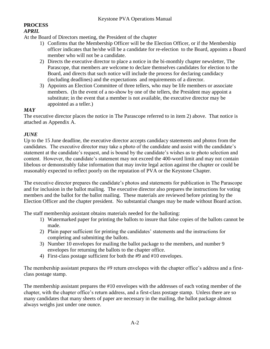#### **PROCESS** *APRIL*

At the Board of Directors meeting, the President of the chapter

- 1) Confirms that the Membership Officer will be the Election Officer, or if the Membership officer indicates that he/she will be a candidate for re-election to the Board, appoints a Board member who will not be a candidate.
- 2) Directs the executive director to place a notice in the bi-monthly chapter newsletter, The Parascope, that members are welcome to declare themselves candidates for election to the Board, and directs that such notice will include the process for declaring candidacy (including deadlines) and the expectations and requirements of a director.
- 3) Appoints an Election Committee of three tellers, who may be life members or associate members. (In the event of a no-show by one of the tellers, the President may appoint a substitute; in the event that a member is not available, the executive director may be appointed as a teller.)

# *MAY*

The executive director places the notice in The Parascope referred to in item 2) above. That notice is attached as Appendix A.

# *JUNE*

Up to the 15 June deadline, the executive director accepts candidacy statements and photos from the candidates. The executive director may take a photo of the candidate and assist with the candidate's statement at the candidate's request, and is bound by the candidate's wishes as to photo selection and content. However, the candidate's statement may not exceed the 400-word limit and may not contain libelous or demonstrably false information that may invite legal action against the chapter or could be reasonably expected to reflect poorly on the reputation of PVA or the Keystone Chapter.

The executive director prepares the candidate's photos and statements for publication in The Parascope and for inclusion in the ballot mailing. The executive director also prepares the instructions for voting members and the ballot for the ballot mailing. These materials are reviewed before printing by the Election Officer and the chapter president. No substantial changes may be made without Board action.

The staff membership assistant obtains materials needed for the balloting:

- 1) Watermarked paper for printing the ballots to insure that false copies of the ballots cannot be made.
- 2) Plain paper sufficient for printing the candidates' statements and the instructions for completing and submitting the ballots.
- 3) Number 10 envelopes for mailing the ballot package to the members, and number 9 envelopes for returning the ballots to the chapter office.
- 4) First-class postage sufficient for both the #9 and #10 envelopes.

The membership assistant prepares the #9 return envelopes with the chapter office's address and a firstclass postage stamp.

The membership assistant prepares the #10 envelopes with the addresses of each voting member of the chapter, with the chapter office's return address, and a first-class postage stamp. Unless there are so many candidates that many sheets of paper are necessary in the mailing, the ballot package almost always weighs just under one ounce.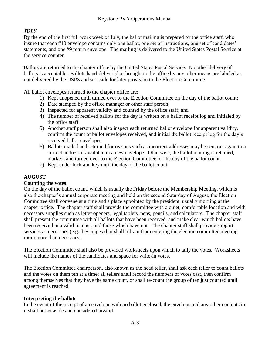# *JULY*

By the end of the first full work week of July, the ballot mailing is prepared by the office staff, who insure that each #10 envelope contains only one ballot, one set of instructions, one set of candidates' statements, and one #9 return envelope. The mailing is delivered to the United States Postal Service at the service counter.

Ballots are returned to the chapter office by the United States Postal Service. No other delivery of ballots is acceptable. Ballots hand-delivered or brought to the office by any other means are labeled as not delivered by the USPS and set aside for later provision to the Election Committee.

All ballot envelopes returned to the chapter office are:

- 1) Kept unopened until turned over to the Election Committee on the day of the ballot count;
- 2) Date stamped by the office manager or other staff person;
- 3) Inspected for apparent validity and counted by the office staff; and
- 4) The number of received ballots for the day is written on a ballot receipt log and initialed by the office staff.
- 5) Another staff person shall also inspect each returned ballot envelope for apparent validity, confirm the count of ballot envelopes received, and initial the ballot receipt log for the day's received ballot envelopes.
- 6) Ballots mailed and returned for reasons such as incorrect addresses may be sent out again to a correct address if available in a new envelope. Otherwise, the ballot mailing is retained, marked, and turned over to the Election Committee on the day of the ballot count.
- 7) Kept under lock and key until the day of the ballot count.

#### **AUGUST**

#### **Counting the votes**

On the day of the ballot count, which is usually the Friday before the Membership Meeting, which is also the chapter's annual corporate meeting and held on the second Saturday of August, the Election Committee shall convene at a time and a place appointed by the president, usually morning at the chapter office. The chapter staff shall provide the committee with a quiet, comfortable location and with necessary supplies such as letter openers, legal tablets, pens, pencils, and calculators. The chapter staff shall present the committee with all ballots that have been received, and make clear which ballots have been received in a valid manner, and those which have not. The chapter staff shall provide support services as necessary (e.g., beverages) but shall refrain from entering the election committee meeting room more than necessary.

The Election Committee shall also be provided worksheets upon which to tally the votes. Worksheets will include the names of the candidates and space for write-in votes.

The Election Committee chairperson, also known as the head teller, shall ask each teller to count ballots and the votes on them ten at a time; all tellers shall record the numbers of votes cast, then confirm among themselves that they have the same count, or shall re-count the group of ten just counted until agreement is reached.

#### **Interpreting the ballots**

In the event of the receipt of an envelope with no ballot enclosed, the envelope and any other contents in it shall be set aside and considered invalid.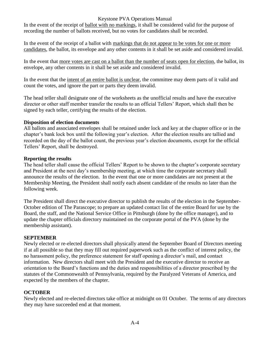In the event of the receipt of ballot with no markings, it shall be considered valid for the purpose of recording the number of ballots received, but no votes for candidates shall be recorded.

In the event of the receipt of a ballot with markings that do not appear to be votes for one or more candidates, the ballot, its envelope and any other contents in it shall be set aside and considered invalid.

In the event that more votes are cast on a ballot than the number of seats open for election, the ballot, its envelope, any other contents in it shall be set aside and considered invalid.

In the event that the intent of an entire ballot is unclear, the committee may deem parts of it valid and count the votes, and ignore the part or parts they deem invalid.

The head teller shall designate one of the worksheets as the unofficial results and have the executive director or other staff member transfer the results to an official Tellers' Report, which shall then be signed by each teller, certifying the results of the election.

#### **Disposition of election documents**

All ballots and associated envelopes shall be retained under lock and key at the chapter office or in the chapter's bank lock box until the following year's election. After the election results are tallied and recorded on the day of the ballot count, the previous year's election documents, except for the official Tellers' Report, shall be destroyed.

#### **Reporting the results**

The head teller shall cause the official Tellers' Report to be shown to the chapter's corporate secretary and President at the next day's membership meeting, at which time the corporate secretary shall announce the results of the election. In the event that one or more candidates are not present at the Membership Meeting, the President shall notify each absent candidate of the results no later than the following week.

The President shall direct the executive director to publish the results of the election in the September-October edition of The Parascope; to prepare an updated contact list of the entire Board for use by the Board, the staff, and the National Service Office in Pittsburgh (done by the office manager), and to update the chapter officials directory maintained on the corporate portal of the PVA (done by the membership assistant).

## **SEPTEMBER**

Newly elected or re-elected directors shall physically attend the September Board of Directors meeting if at all possible so that they may fill out required paperwork such as the conflict of interest policy, the no harassment policy, the preference statement for staff opening a director's mail, and contact information. New directors shall meet with the President and the executive director to receive an orientation to the Board's functions and the duties and responsibilities of a director prescribed by the statutes of the Commonwealth of Pennsylvania, required by the Paralyzed Veterans of America, and expected by the members of the chapter.

## **OCTOBER**

Newly elected and re-elected directors take office at midnight on 01 October. The terms of any directors they may have succeeded end at that moment.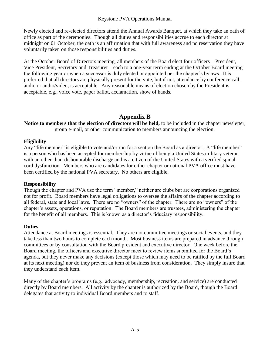Newly elected and re-elected directors attend the Annual Awards Banquet, at which they take an oath of office as part of the ceremonies. Though all duties and responsibilities accrue to each director at midnight on 01 October, the oath is an affirmation that with full awareness and no reservation they have voluntarily taken on those responsibilities and duties.

At the October Board of Directors meeting, all members of the Board elect four officers—President, Vice President, Secretary and Treasurer—each to a one-year term ending at the October Board meeting the following year or when a successor is duly elected or appointed per the chapter's bylaws. It is preferred that all directors are physically present for the vote, but if not, attendance by conference call, audio or audio/video, is acceptable. Any reasonable means of election chosen by the President is acceptable, e.g., voice vote, paper ballot, acclamation, show of hands.

# **Appendix B**

**Notice to members that the election of directors will be held,** to be included in the chapter newsletter, group e-mail, or other communication to members announcing the election:

## **Eligibility**

Any "life member" is eligible to vote and/or run for a seat on the Board as a director. A "life member" is a person who has been accepted for membership by virtue of being a United States military veteran with an other-than-dishonorable discharge and is a citizen of the United States with a verified spinal cord dysfunction. Members who are candidates for either chapter or national PVA office must have been certified by the national PVA secretary. No others are eligible.

## **Responsibility**

Though the chapter and PVA use the term "member," neither are clubs but are corporations organized not for profit. Board members have legal obligations to oversee the affairs of the chapter according to all federal, state and local laws. There are no "owners" of the chapter. There are no "owners" of the chapter's assets, operations, or reputation. The Board members are trustees, administering the chapter for the benefit of all members. This is known as a director's fiduciary responsibility.

## **Duties**

Attendance at Board meetings is essential. They are not committee meetings or social events, and they take less than two hours to complete each month. Most business items are prepared in advance through committees or by consultation with the Board president and executive director. One week before the Board meeting, the officers and executive director meet to review items submitted for the Board's agenda, but they never make any decisions (except those which may need to be ratified by the full Board at its next meeting) nor do they prevent an item of business from consideration. They simply insure that they understand each item.

Many of the chapter's programs (e.g., advocacy, membership, recreation, and service) are conducted directly by Board members. All activity by the chapter is authorized by the Board, though the Board delegates that activity to individual Board members and to staff.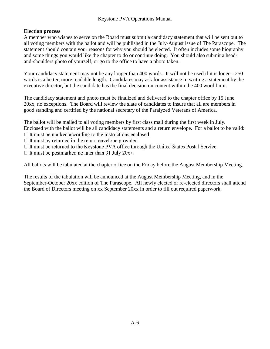#### **Election process**

A member who wishes to serve on the Board must submit a candidacy statement that will be sent out to all voting members with the ballot and will be published in the July-August issue of The Parascope. The statement should contain your reasons for why you should be elected. It often includes some biography and some things you would like the chapter to do or continue doing. You should also submit a headand-shoulders photo of yourself, or go to the office to have a photo taken.

Your candidacy statement may not be any longer than 400 words. It will not be used if it is longer; 250 words is a better, more readable length. Candidates may ask for assistance in writing a statement by the executive director, but the candidate has the final decision on content within the 400 word limit.

The candidacy statement and photo must be finalized and delivered to the chapter office by 15 June 20xx, no exceptions. The Board will review the slate of candidates to insure that all are members in good standing and certified by the national secretary of the Paralyzed Veterans of America.

The ballot will be mailed to all voting members by first class mail during the first week in July. Enclosed with the ballot will be all candidacy statements and a return envelope. For a ballot to be valid:  $\Box$  It must be marked according to the instructions enclosed.

 $\Box$  It must by returned in the return envelope provided.

- $\Box$  It must be returned to the Keystone PVA office through the United States Postal Service.
- $\Box$  It must be postmarked no later than 31 July 20xx.

All ballots will be tabulated at the chapter office on the Friday before the August Membership Meeting.

The results of the tabulation will be announced at the August Membership Meeting, and in the September-October 20xx edition of The Parascope. All newly elected or re-elected directors shall attend the Board of Directors meeting on xx September 20xx in order to fill out required paperwork.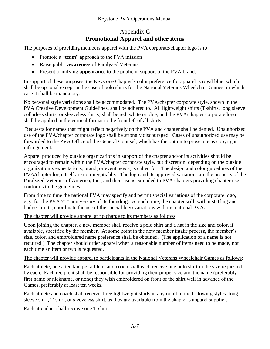# Appendix C **Promotional Apparel and other items**

The purposes of providing members apparel with the PVA corporate/chapter logo is to

- Promote a "**team**" approach to the PVA mission
- Raise public **awareness** of Paralyzed Veterans
- Present a unifying **appearance** to the public in support of the PVA brand.

In support of these purposes, the Keystone Chapter's color preference for apparel is royal blue, which shall be optional except in the case of polo shirts for the National Veterans Wheelchair Games, in which case it shall be mandatory.

No personal style variations shall be accommodated. The PVA/chapter corporate style, shown in the PVA Creative Development Guidelines, shall be adhered to. All lightweight shirts (T-shirts, long sleeve collarless shirts, or sleeveless shirts) shall be red, white or blue; and the PVA/chapter corporate logo shall be applied in the vertical format to the front left of all shirts.

Requests for names that might reflect negatively on the PVA and chapter shall be denied. Unauthorized use of the PVA/chapter corporate logo shall be strongly discouraged. Cases of unauthorized use may be forwarded to the PVA Office of the General Counsel, which has the option to prosecute as copyright infringement.

Apparel produced by outside organizations in support of the chapter and/or its activities should be encouraged to remain within the PVA/chapter corporate style, but discretion, depending on the outside organization's expectations, brand, or event needs, is called for. The design and color guidelines of the PVA/chapter logo itself are non-negotiable. The logo and its approved variations are the property of the Paralyzed Veterans of America, Inc., and their use is extended to PVA chapters providing chapter use conforms to the guidelines.

From time to time the national PVA may specify and permit special variations of the corporate logo, e.g., for the PVA 75<sup>th</sup> anniversary of its founding. At such time, the chapter will, within staffing and budget limits, coordinate the use of the special logo variations with the national PVA.

The chapter will provide apparel at no charge to its members as follows:

Upon joining the chapter, a new member shall receive a polo shirt and a hat in the size and color, if available, specified by the member. At some point in the new member intake process, the member's size, color, and embroidered name preference shall be obtained. (The application of a name is not required.) The chapter should order apparel when a reasonable number of items need to be made, not each time an item or two is requested.

## The chapter will provide apparel to participants in the National Veterans Wheelchair Games as follows:

Each athlete, one attendant per athlete, and coach shall each receive one polo shirt in the size requested by each. Each recipient shall be responsible for providing their proper size and the name (preferably first name or nickname, or none) they wish embroidered on front of the shirt well in advance of the Games, preferably at least ten weeks.

Each athlete and coach shall receive three lightweight shirts in any or all of the following styles: long sleeve shirt, T-shirt, or sleeveless shirt, as they are available from the chapter's apparel supplier.

Each attendant shall receive one T-shirt.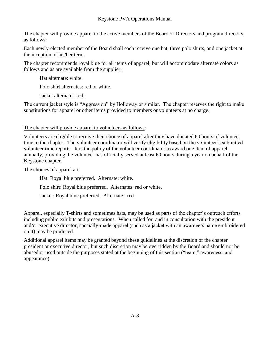The chapter will provide apparel to the active members of the Board of Directors and program directors as follows:

Each newly-elected member of the Board shall each receive one hat, three polo shirts, and one jacket at the inception of his/her term.

The chapter recommends royal blue for all items of apparel, but will accommodate alternate colors as follows and as are available from the supplier:

Hat alternate: white.

Polo shirt alternates: red or white.

Jacket alternate: red.

The current jacket style is "Aggression" by Holloway or similar. The chapter reserves the right to make substitutions for apparel or other items provided to members or volunteers at no charge.

#### The chapter will provide apparel to volunteers as follows:

Volunteers are eligible to receive their choice of apparel after they have donated 60 hours of volunteer time to the chapter. The volunteer coordinator will verify eligibility based on the volunteer's submitted volunteer time reports. It is the policy of the volunteer coordinator to award one item of apparel annually, providing the volunteer has officially served at least 60 hours during a year on behalf of the Keystone chapter.

The choices of apparel are

Hat: Royal blue preferred. Alternate: white.

Polo shirt: Royal blue preferred. Alternates: red or white.

Jacket: Royal blue preferred. Alternate: red.

Apparel, especially T-shirts and sometimes hats, may be used as parts of the chapter's outreach efforts including public exhibits and presentations. When called for, and in consultation with the president and/or executive director, specially-made apparel (such as a jacket with an awardee's name embroidered on it) may be produced.

Additional apparel items may be granted beyond these guidelines at the discretion of the chapter president or executive director, but such discretion may be overridden by the Board and should not be abused or used outside the purposes stated at the beginning of this section ("team," awareness, and appearance).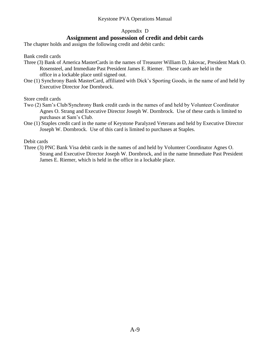#### Appendix D

# **Assignment and possession of credit and debit cards**

The chapter holds and assigns the following credit and debit cards:

Bank credit cards

- Three (3) Bank of America MasterCards in the names of Treasurer William D, Jakovac, President Mark O. Rosensteel, and Immediate Past President James E. Riemer. These cards are held in the office in a lockable place until signed out.
- One (1) Synchrony Bank MasterCard, affiliated with Dick's Sporting Goods, in the name of and held by Executive Director Joe Dornbrock.

Store credit cards

- Two (2) Sam's Club/Synchrony Bank credit cards in the names of and held by Volunteer Coordinator Agnes O. Strang and Executive Director Joseph W. Dornbrock. Use of these cards is limited to purchases at Sam's Club.
- One (1) Staples credit card in the name of Keystone Paralyzed Veterans and held by Executive Director Joseph W. Dornbrock. Use of this card is limited to purchases at Staples.

Debit cards

Three (3) PNC Bank Visa debit cards in the names of and held by Volunteer Coordinator Agnes O. Strang and Executive Director Joseph W. Dornbrock, and in the name Immediate Past President James E. Riemer, which is held in the office in a lockable place.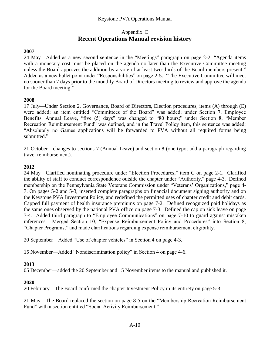# Appendix E **Recent Operations Manual revision history**

#### **2007**

24 May—Added as a new second sentence in the "Meetings" paragraph on page 2-2: "Agenda items with a monetary cost must be placed on the agenda no later than the Executive Committee meeting unless the Board approves the addition by a vote of at least two-thirds of the Board members present." Added as a new bullet point under "Responsibilities" on page 2-5: "The Executive Committee will meet no sooner than 7 days prior to the monthly Board of Directors meeting to review and approve the agenda for the Board meeting."

#### **2008**

17 July—Under Section 2, Governance, Board of Directors, Election procedures, items (A) through (E) were added; an item entitled "Committees of the Board" was added; under Section 7, Employee Benefits, Annual Leave, "five (5) days" was changed to "80 hours;" under Section 8, "Member Recreation Reimbursement Fund" was defined, and in the Travel Policy item, this sentence was added: "Absolutely no Games applications will be forwarded to PVA without all required forms being submitted."

21 October—changes to sections 7 (Annual Leave) and section 8 (one typo; add a paragraph regarding travel reimbursement).

#### **2012**

24 May—Clarified nominating procedure under "Election Procedures," item C on page 2-1. Clarified the ability of staff to conduct correspondence outside the chapter under "Authority," page 4-3. Defined membership on the Pennsylvania State Veterans Commission under "Veterans' Organizations," page 4- 7. On pages 5-2 and 5-3, inserted complete paragraphs on financial document signing authority and on the Keystone PVA Investment Policy, and redefined the permitted uses of chapter credit and debit cards. Capped full payment of health insurance premiums on page 7-2. Defined recognized paid holidays as the same ones observed by the national PVA office on page 7-3. Defined the cap on sick leave on page 7-4. Added third paragraph to "Employee Communications" on page 7-10 to guard against mistaken inferences. Merged Section 10, "Expense Reimbursement Policy and Procedures" into Section 8, "Chapter Programs," and made clarifications regarding expense reimbursement eligibility.

20 September—Added "Use of chapter vehicles" in Section 4 on page 4-3.

15 November—Added "Nondiscrimination policy" in Section 4 on page 4-6.

#### **2013**

05 December—added the 20 September and 15 November items to the manual and published it.

#### **2020**

20 February—The Board confirmed the chapter Investment Policy in its entirety on page 5-3.

21 May—The Board replaced the section on page 8-5 on the "Membership Recreation Reimbursement Fund" with a section entitled "Social Activity Reimbursement."